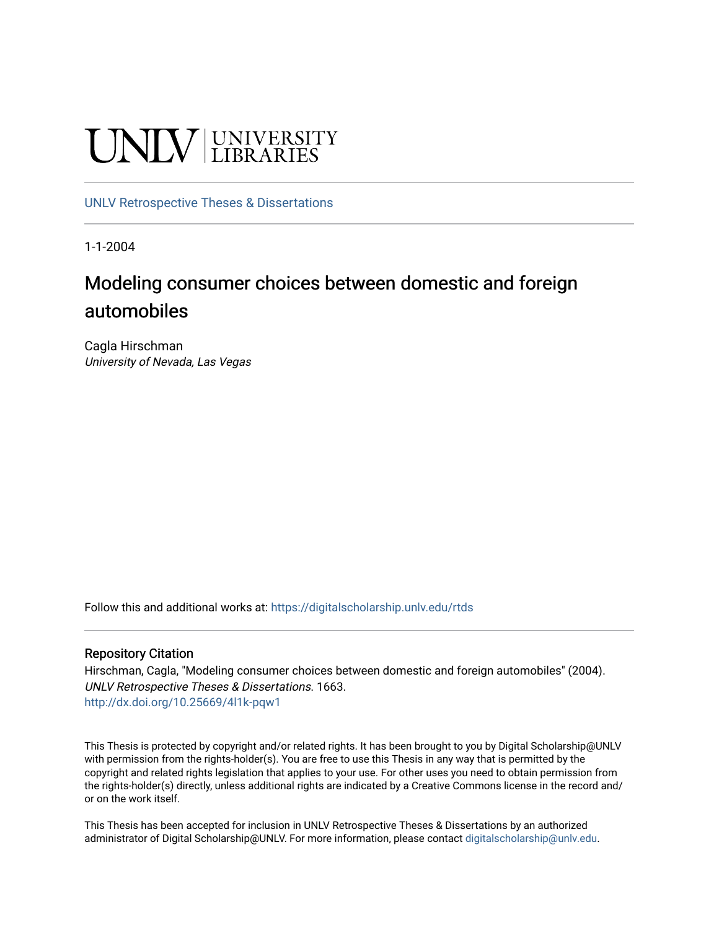# UNIV UNIVERSITY

## [UNLV Retrospective Theses & Dissertations](https://digitalscholarship.unlv.edu/rtds)

1-1-2004

## Modeling consumer choices between domestic and foreign automobiles

Cagla Hirschman University of Nevada, Las Vegas

Follow this and additional works at: [https://digitalscholarship.unlv.edu/rtds](https://digitalscholarship.unlv.edu/rtds?utm_source=digitalscholarship.unlv.edu%2Frtds%2F1663&utm_medium=PDF&utm_campaign=PDFCoverPages)

## Repository Citation

Hirschman, Cagla, "Modeling consumer choices between domestic and foreign automobiles" (2004). UNLV Retrospective Theses & Dissertations. 1663. <http://dx.doi.org/10.25669/4l1k-pqw1>

This Thesis is protected by copyright and/or related rights. It has been brought to you by Digital Scholarship@UNLV with permission from the rights-holder(s). You are free to use this Thesis in any way that is permitted by the copyright and related rights legislation that applies to your use. For other uses you need to obtain permission from the rights-holder(s) directly, unless additional rights are indicated by a Creative Commons license in the record and/ or on the work itself.

This Thesis has been accepted for inclusion in UNLV Retrospective Theses & Dissertations by an authorized administrator of Digital Scholarship@UNLV. For more information, please contact [digitalscholarship@unlv.edu.](mailto:digitalscholarship@unlv.edu)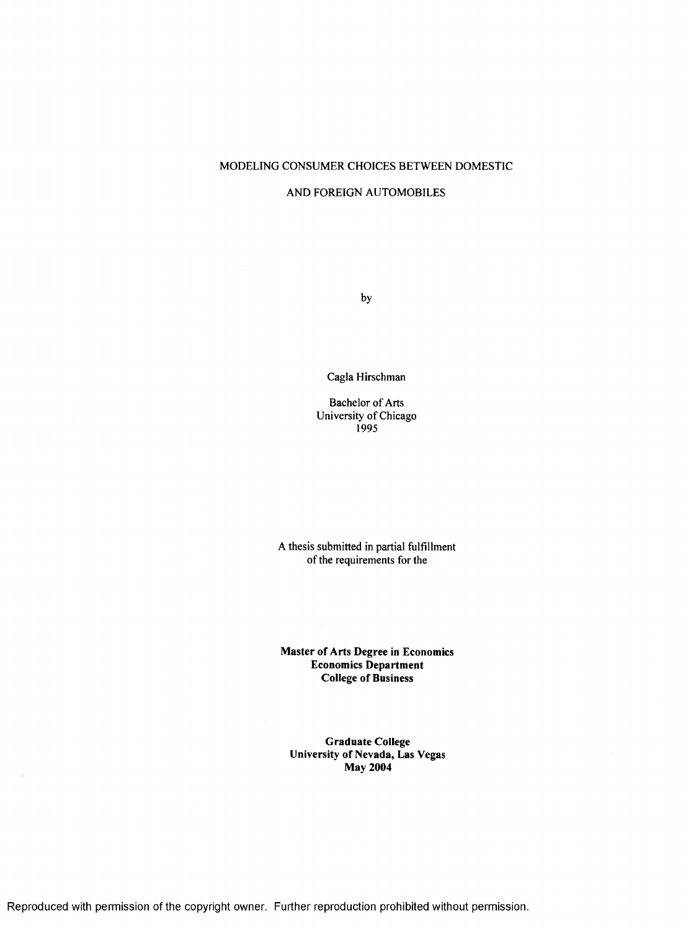#### MODELING CONSUMER CHOICES BETWEEN DOMESTIC

#### AND FOREIGN AUTOMOBILES

by

Cagla Hirschman

Bachelor of Arts University of Chicago 1995

A thesis submitted in partial fulfillment of the requirements for the

**Master of Arts Degree in Economics** Economics Department College of Business

**Graduate College** University of Nevada, Las Vegas **May 2004** 

Reproduced with permission of the copyright owner. Further reproduction prohibited without permission.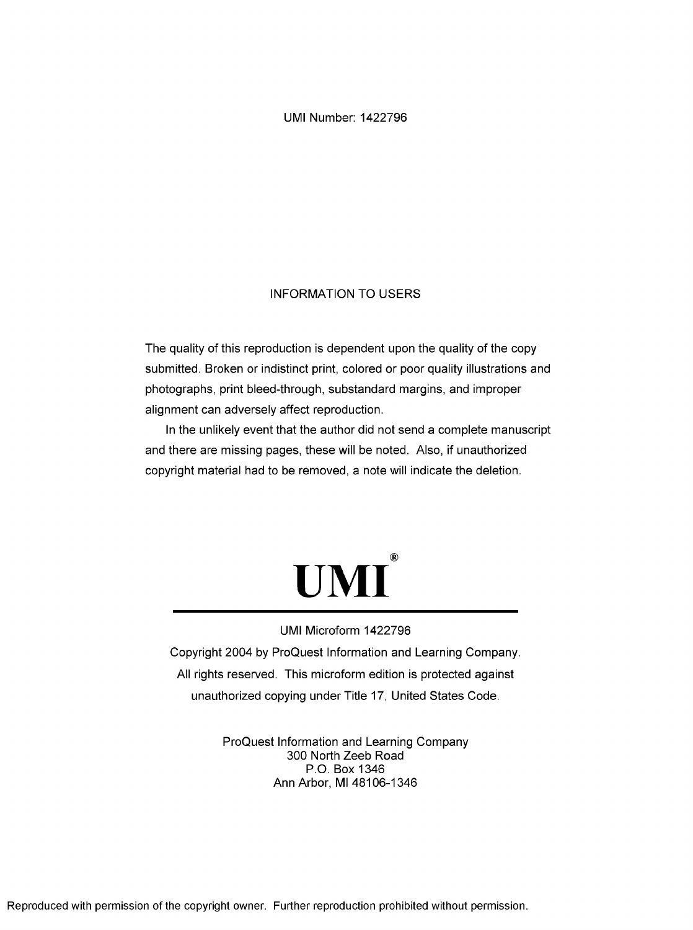UMI Number: 1422796

## INFORMATION TO USERS

The quality of this reproduction is dependent upon the quality of the copy submitted. Broken or indistinct print, colored or poor quality illustrations and photographs, print bleed-through, substandard margins, and improper alignment can adversely affect reproduction.

In the unlikely event that the author did not send a complete manuscript and there are missing pages, these will be noted. Also, if unauthorized copyright material had to be removed, a note will indicate the deletion.



## UMI Microform 1422796

Copyright 2004 by ProQuest Information and Learning Company. All rights reserved. This microform edition is protected against unauthorized copying under Title 17, United States Code.

> ProQuest Information and Learning Company 300 North Zeeb Road P.O. Box 1346 Ann Arbor, Ml 48106-1346

Reproduced with permission of the copyright owner. Further reproduction prohibited without permission.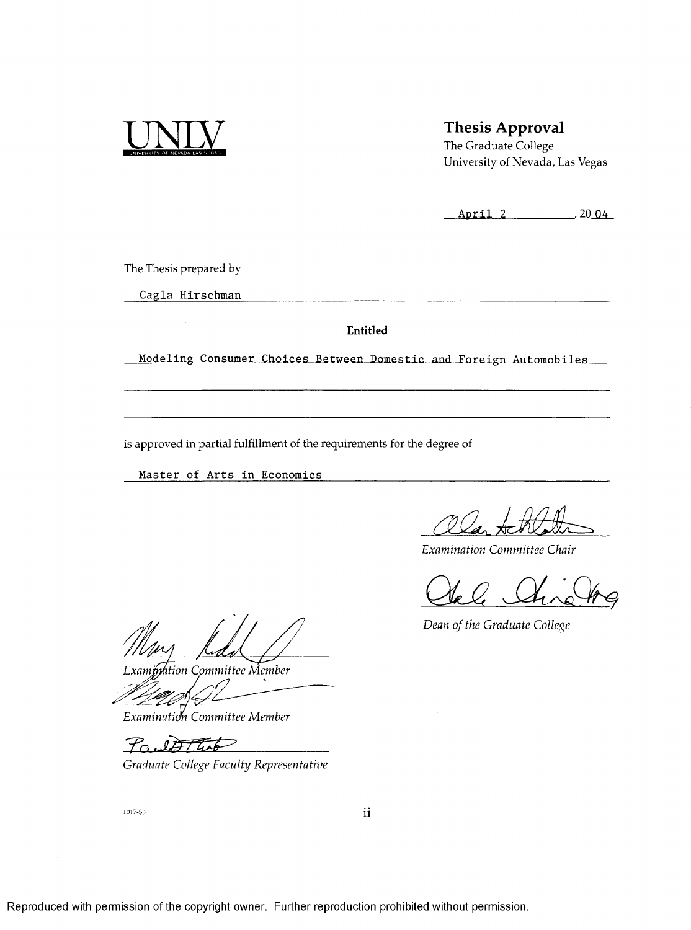

## **Thesis Approval**

**The Graduate College University of Nevada, Las Vegas**

**A p r il 2 \_,20\_QA\_**

**The Thesis prepared by**

**Cagla Hirschman**

**Entitled**

**Modeling Consumer Choices Between Domestic and Foreign Automobiles** 

**is approved in partial fulfillment of the requirements for the degree of**

**Master of Arts in Economics** 

*Examination Committee Chair*

*Dean of the Graduate College*

*E xam M tion Committee Member*

*Examinatim Committee Member*

*Tr..*

*Graduate College Faculty Representative*

1017-53

Reproduced with permission of the copyright owner. Further reproduction prohibited without permission.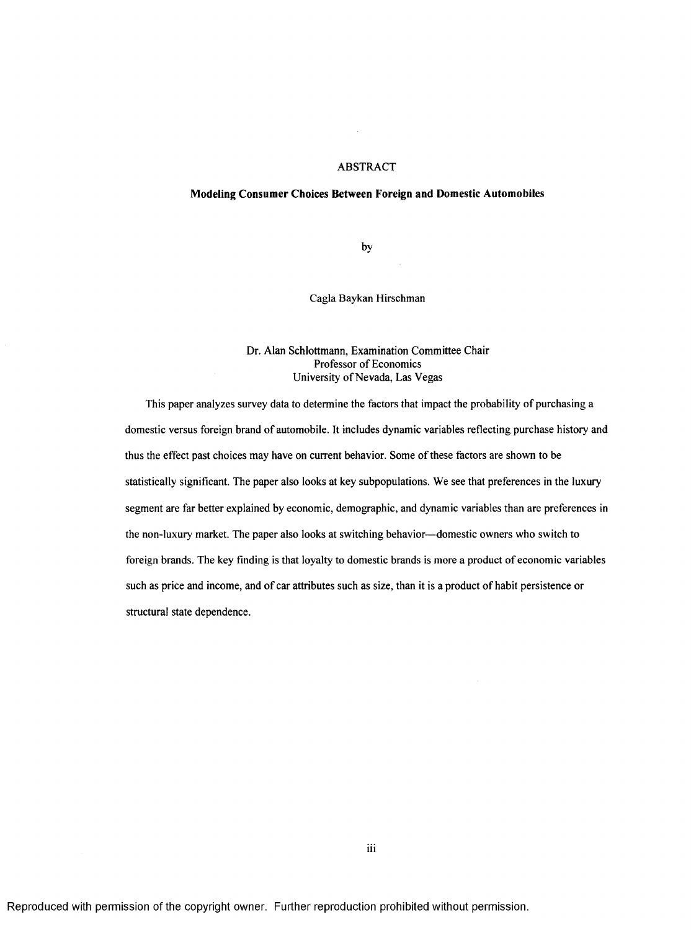#### ABSTRACT

#### **Modeling Consumer Choices Between Foreign and Domestic Automobiles**

by

Cagla Baykan Hirschman

#### Dr. Alan Schlottmann, Examination Committee Chair Professor of Economics University of Nevada, Las Vegas

This paper analyzes survey data to determine the factors that impact the probability of purchasing a domestic versus foreign brand of automobile. It includes dynamic variables reflecting purchase history and thus the effect past choices may have on current behavior. Some of these factors are shown to be statistically significant. The paper also looks at key subpopulations. We see that preferences in the luxury segment are far better explained by economic, demographic, and dynamic variables than are preferences in the non-luxury market. The paper also looks at switching behavior— domestic owners who switch to foreign brands. The key finding is that loyalty to domestic brands is more a product of economic variables such as price and income, and of car attributes such as size, than it is a product of habit persistence or structural state dependence.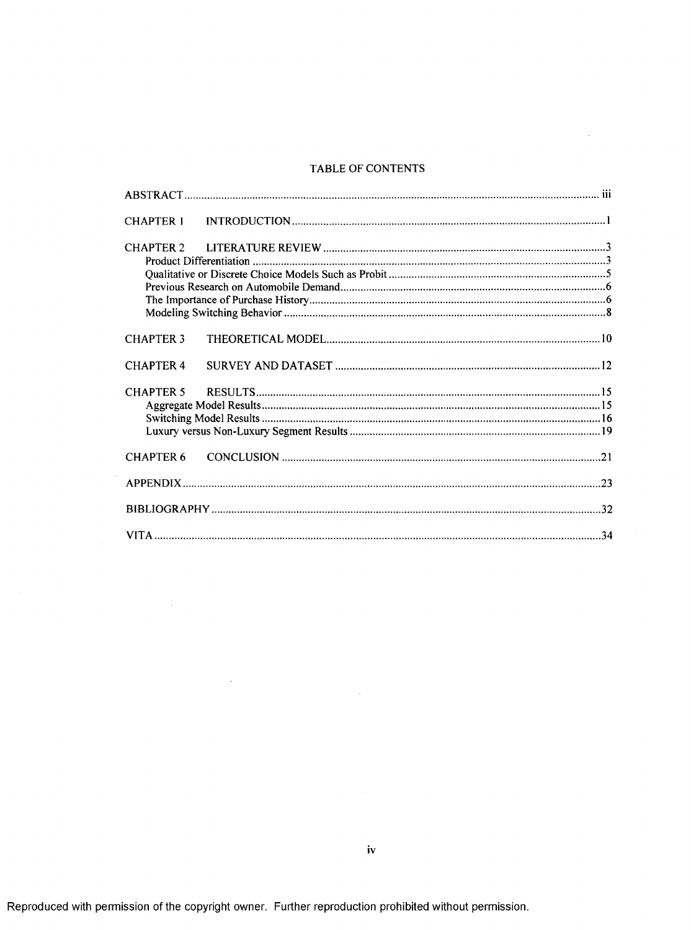## TABLE OF CONTENTS

 $\sim$ 

| <b>CHAPTER 1</b> |                   |  |
|------------------|-------------------|--|
|                  |                   |  |
| <b>CHAPTER 3</b> |                   |  |
| <b>CHAPTER 4</b> | <b>Contractor</b> |  |
|                  |                   |  |
| <b>CHAPTER 6</b> |                   |  |
|                  |                   |  |
|                  |                   |  |
|                  |                   |  |

 $\sim$ 

 $\sim 10^{-1}$ 

 $\sim$   $\sim$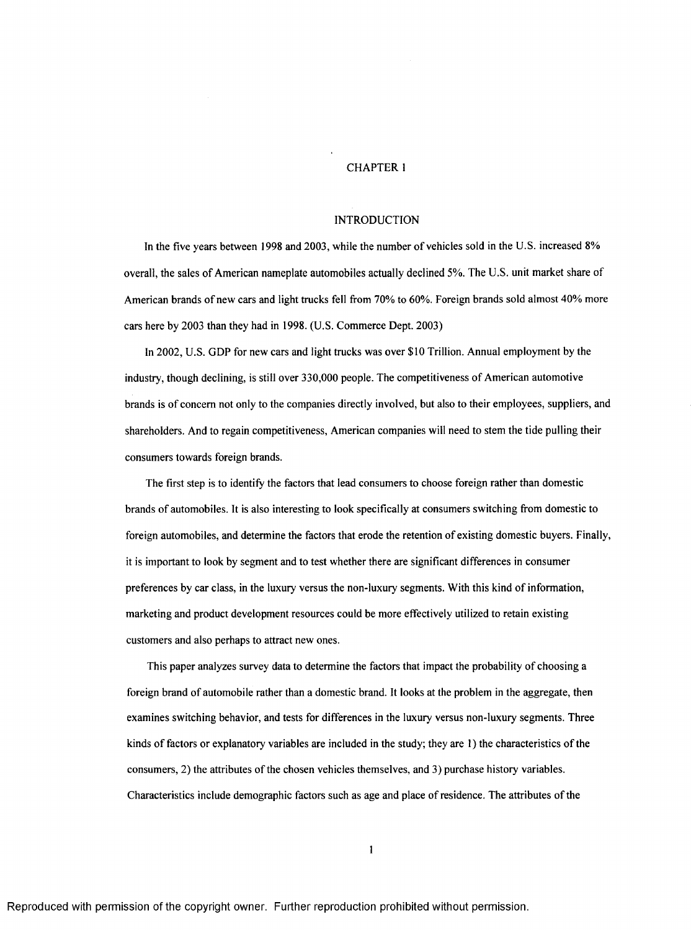#### CHAPTER 1

#### INTRODUCTION

In the five years between 1998 and 2003, while the number of vehicles sold in the U.S. increased 8% overall, the sales of American nameplate automobiles actually declined 5%. The U.S. unit market share of American brands of new cars and light trucks fell from 70% to 60%. Foreign brands sold almost 40% more cars here by 2003 than they had in 1998. (U.S. Commerce Dept. 2003)

In 2002, U.S. GDP for new cars and light trucks was over \$10 Trillion. Annual employment by the industry, though declining, is still over 330,000 people. The competitiveness of American automotive brands is of concern not only to the companies directly involved, but also to their employees, suppliers, and shareholders. And to regain competitiveness, American companies will need to stem the tide pulling their consumers towards foreign brands.

The first step is to identify the factors that lead consumers to choose foreign rather than domestic brands of automobiles. It is also interesting to look specifically at consumers switching from domestic to foreign automobiles, and determine the factors that erode the retention of existing domestic buyers. Finally, it is important to look by segment and to test whether there are significant differences in consumer preferences by car class, in the luxury versus the non-luxury segments. With this kind of information, marketing and product development resources could be more effectively utilized to retain existing customers and also perhaps to attract new ones.

This paper analyzes survey data to determine the factors that impact the probability of choosing a foreign brand of automobile rather than a domestic brand. It looks at the problem in the aggregate, then examines switching behavior, and tests for differences in the luxury versus non-luxury segments. Three kinds of factors or explanatory variables are included in the study; they are  $\ell$ ) the characteristics of the consumers, 2) the attributes of the chosen vehicles themselves, and 3) purchase history variables. Characteristics include demographic factors such as age and place of residence. The attributes of the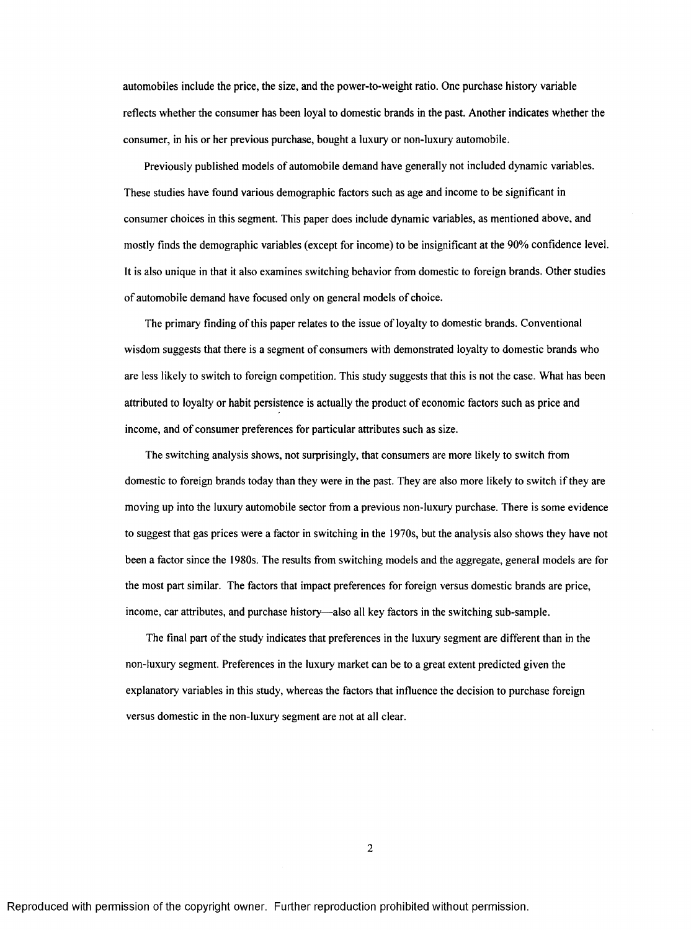automobiles include the price, the size, and the power-to-weight ratio. One purchase history variable reflects whether the consumer has been loyal to domestic brands in the past. Another indicates whether the consumer, in his or her previous purchase, bought a luxury or non-luxury automobile.

Previously published models of automobile demand have generally not included dynamic variables. These studies have found various demographic factors such as age and income to be significant in consumer choices in this segment. This paper does include dynamic variables, as mentioned above, and mostly finds the demographic variables (except for income) to be insignificant at the 90% confidence level. It is also unique in that it also examines switching behavior from domestic to foreign brands. Other studies of automobile demand have focused only on general models of choice.

The primary finding of this paper relates to the issue of loyalty to domestic brands. Conventional wisdom suggests that there is a segment of consumers with demonstrated loyalty to domestic brands who are less likely to switch to foreign competition. This study suggests that this is not the case. What has been attributed to loyalty or habit persistence is actually the product of economic factors such as price and income, and of consumer preferences for particular attributes such as size.

The switching analysis shows, not surprisingly, that consumers are more likely to switch from domestic to foreign brands today than they were in the past. They are also more likely to switch if they are moving up into the luxury automobile sector from a previous non-luxury purchase. There is some evidence to suggest that gas prices were a factor in switching in the 1970s, but the analysis also shows they have not been a factor since the 1980s. The results from switching models and the aggregate, general models are for the most part similar. The factors that impact preferences for foreign versus domestic brands are price, income, car attributes, and purchase history— also all key factors in the switching sub-sample.

The final part of the study indicates that preferences in the luxury segment are different than in the non-luxury segment. Preferences in the luxury market can be to a great extent predicted given the explanatory variables in this study, whereas the factors that influence the decision to purchase foreign versus domestic in the non-luxury segment are not at all clear.

 $\overline{2}$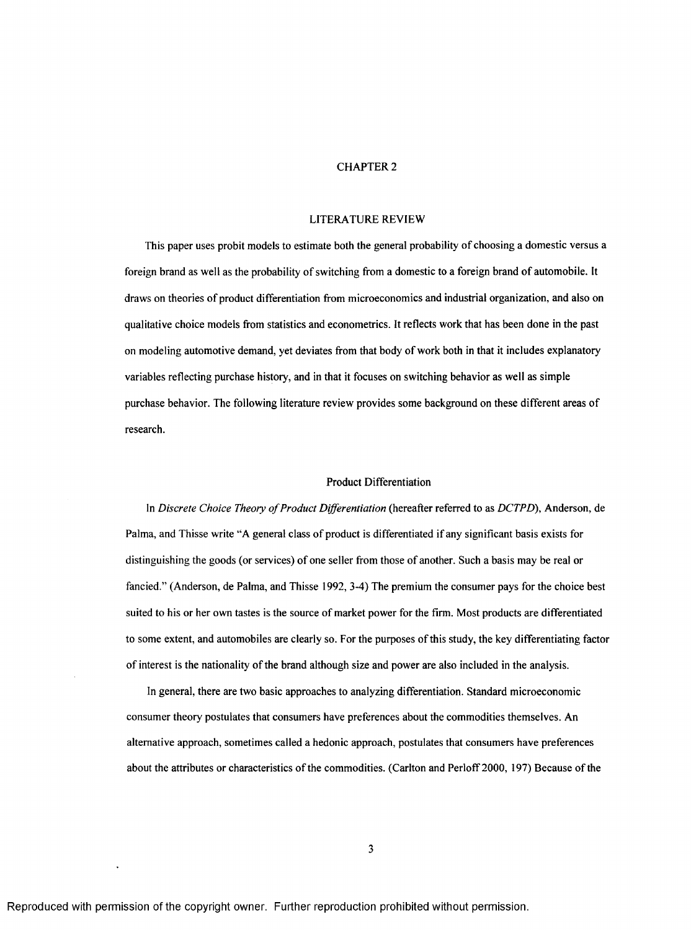#### CHAPTER 2

#### LITERATURE REVIEW

This paper uses probit models to estimate both the general probability of choosing a domestic versus a foreign brand as well as the probability of switching from a domestic to a foreign brand of automobile. It draws on theories of product differentiation from microeconomics and industrial organization, and also on qualitative choice models from statistics and econometrics. It reflects work that has been done in the past on modeling automotive demand, yet deviates from that body of work both in that it includes explanatory variables reflecting purchase history, and in that it focuses on switching behavior as well as simple purchase behavior. The following literature review provides some background on these different areas of research.

## Product Differentiation

In *Discrete Choice Theory of Product Differentiation* (hereafter referred to as *DCTPD*), Anderson, de Palma, and Thisse write "A general class of product is differentiated if any significant basis exists for distinguishing the goods (or services) of one seller from those of another. Such a basis may be real or fancied." (Anderson, de Palma, and Thisse 1992, 3-4) The premium the consumer pays for the choice best suited to his or her own tastes is the source of market power for the firm. Most products are differentiated to some extent, and automobiles are clearly so. For the purposes of this study, the key differentiating factor of interest is the nationality of the brand although size and power are also included in the analysis.

In general, there are two basic approaches to analyzing differentiation. Standard microeconomic consumer theory postulates that consumers have preferences about the commodities themselves. An alternative approach, sometimes called a hedonic approach, postulates that consumers have preferences about the attributes or characteristics of the commodities. (Carlton and Perloff 2000, 197) Because of the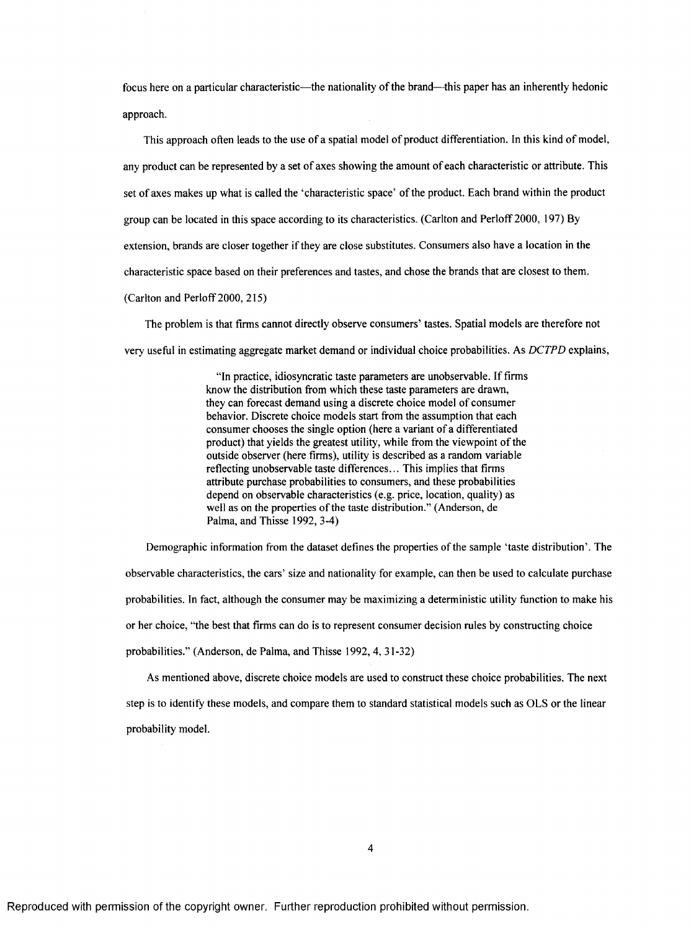focus here on a particular characteristic—the nationality of the brand—this paper has an inherently hedonic approach.

This approach often leads to the use of a spatial model of product differentiation. In this kind of model, any product can be represented by a set of axes showing the amount of each characteristic or attribute. This set of axes makes up what is called the 'characteristic space' of the product. Each brand within the product group can be located in this space according to its characteristics. (Carlton and Perloff 2000, 197) By extension, brands are closer together if they are close substitutes. Consumers also have a location in the characteristic space based on their preferences and tastes, and chose the brands that are closest to them. (Carlton and Perloff 2000, 215)

The problem is that firms cannot directly observe consumers' tastes. Spatial models are therefore not very useful in estimating aggregate market demand or individual choice probabilities. As *DCTPD* explains,

> "In practice, idiosyncratic taste parameters are unobservable. If firms know the distribution from which these taste parameters are drawn, they can forecast demand using a discrete choice model of consumer behavior. Discrete choice models start from the assumption that each consumer chooses the single option (here a variant of a differentiated product) that yields the greatest utility, while from the viewpoint of the outside observer (here firms), utility is described as a random variable reflecting unobservable taste differences... This implies that firms attribute purchase probabilities to consumers, and these probabilities depend on observable characteristics (e.g. price, location, quality) as well as on the properties of the taste distribution." (Anderson, de Palma, and Thisse 1992, 3-4)

Demographic information from the dataset defines the properties of the sample 'taste distribution'. The observable characteristics, the cars' size and nationality for example, can then be used to calculate purchase probabilities. In fact, although the consumer may be maximizing a deterministic utility function to make his or her choice, "the best that firms can do is to represent consumer decision rules by constructing choice probabilities." (Anderson, de Palma, and Thisse 1992, 4, 31-32)

As mentioned above, discrete choice models are used to construct these choice probabilities. The next step is to identify these models, and compare them to standard statistical models such as OLS or the linear probability model.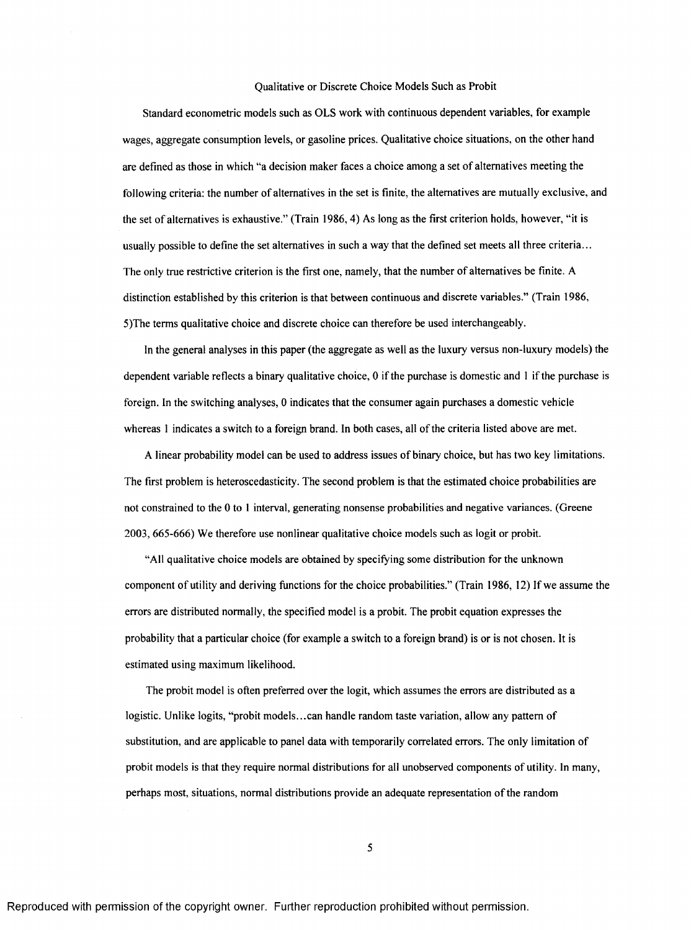#### Qualitative or Discrete Choice Models Such as Probit

Standard econometric models such as OLS work with continuous dependent variables, for example wages, aggregate consumption levels, or gasoline prices. Qualitative choice situations, on the other hand are defined as those in which "a decision maker faces a choice among a set of alternatives meeting the following criteria: the number of alternatives in the set is finite, the alternatives are mutually exclusive, and the set of alternatives is exhaustive." (Train 1986,4) As long as the first criterion holds, however, "it is usually possible to define the set alternatives in such a way that the defined set meets all three criteria... The only true restrictive criterion is the first one, namely, that the number of alternatives be finite. A distinction established by this criterion is that between continuous and discrete variables." (Train 1986, 5)The terms qualitative choice and discrete choice can therefore be used interchangeably.

In the general analyses in this paper (the aggregate as well as the luxury versus non-luxury models) the dependent variable reflects a binary qualitative choice, 0 if the purchase is domestic and 1 if the purchase is foreign. In the switching analyses, 0 indicates that the consumer again purchases a domestic vehicle whereas 1 indicates a switch to a foreign brand. In both cases, all of the criteria listed above are met.

A linear probability model can be used to address issues of binary choice, but has two key limitations. The first problem is heteroscedasticity. The second problem is that the estimated choice probabilities are not constrained to the 0 to I interval, generating nonsense probabilities and negative variances. (Greene 2003, 665-666) We therefore use nonlinear qualitative choice models such as logit or probit.

"All qualitative choice models are obtained by specifying some distribution for the unknown component of utility and deriving functions for the choice probabilities." (Train 1986, 12) If we assume the errors are distributed normally, the specified model is a probit. The probit equation expresses the probability that a particular choice (for example a switch to a foreign brand) is or is not chosen. It is estimated using maximum likelihood.

The probit model is often preferred over the logit, which assumes the errors are distributed as a logistic. Unlike logits, "probit models...can handle random taste variation, allow any pattern of substitution, and are applicable to panel data with temporarily correlated errors. The only limitation of probit models is that they require normal distributions for all unobserved components of utility. In many, perhaps most, situations, normal distributions provide an adequate representation o f the random

5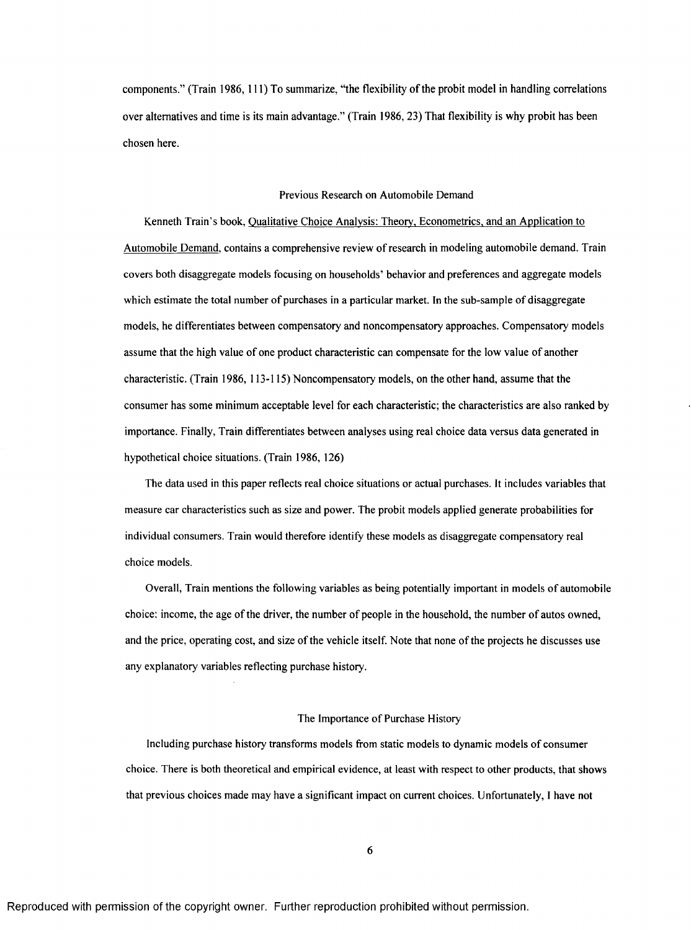components." (Train 1986, 111) To summarize, "the flexibility of the probit model in handling correlations over alternatives and time is its main advantage." (Train 1986, 23) That flexibility is why probit has been chosen here.

#### Previous Research on Automobile Demand

Kenneth Train's book. Qualitative Choice Analvsis: Theorv. Econometrics, and an Application to Automobile Demand, contains a comprehensive review of research in modeling automobile demand. Train covers both disaggregate models focusing on households' behavior and preferences and aggregate models which estimate the total number of purchases in a particular market. In the sub-sample of disaggregate models, he differentiates between compensatory and noncompensatory approaches. Compensatory models assume that the high value of one product characteristic can compensate for the low value of another characteristic. (Train 1986, 113-115) Noncompensatory models, on the other hand, assume that the consumer has some minimum acceptable level for each characteristic; the characteristics are also ranked by importance. Finally, Train differentiates between analyses using real choice data versus data generated in hypothetical choice situations. (Train 1986, 126)

The data used in this paper reflects real choice situations or actual purchases. It includes variables that measure car characteristics such as size and power. The probit models applied generate probabilities for individual consumers. Train would therefore identify these models as disaggregate compensatory real choice models.

Overall, Train mentions the following variables as being potentially important in models of automobile choice: income, the age of the driver, the number of people in the household, the number of autos owned, and the price, operating cost, and size of the vehicle itself. Note that none of the projects he discusses use any explanatory variables reflecting purchase history.

#### The Importance of Purchase History

Including purchase history transforms models from static models to dynamic models of consumer choice. There is both theoretical and empirical evidence, at least with respect to other products, that shows that previous choices made may have a significant impact on current choices. Unfortunately, I have not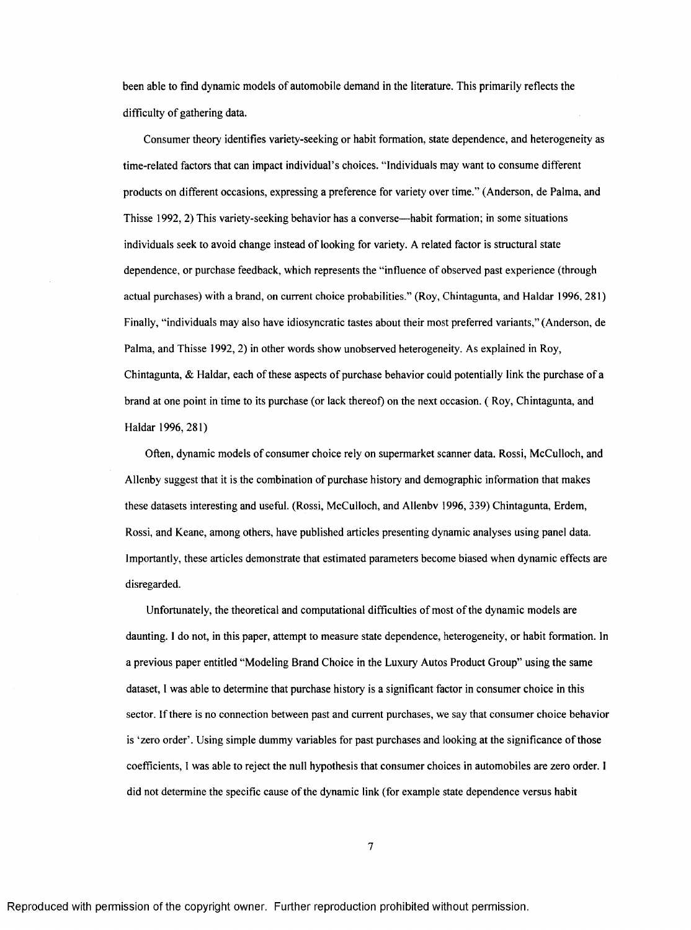been able to find dynamic models of automobile demand in the literature. This primarily reflects the difficulty of gathering data.

Consumer theory identifies variety-seeking or habit formation, state dependence, and heterogeneity as time-related factors that can impact individual's choices. "Individuals may want to consume different products on different occasions, expressing a preference for variety over time. " (Anderson, de Palma, and Thisse 1992, 2) This variety-seeking behavior has a converse— habit formation; in some situations individuals seek to avoid change instead of looking for variety. A related factor is structural state dependence, or purchase feedback, which represents the "influence of observed past experience (through actual purchases) with a brand, on current choice probabilities." (Roy, Chintagunta, and Haidar 1996, 281 ) Finally, "individuals may also have idiosyncratic tastes about their most preferred variants," (Anderson, de Palma, and Thisse 1992, 2) in other words show unobserved heterogeneity. As explained in Roy, Chintagunta, & Haldar, each of these aspects of purchase behavior could potentially link the purchase of a brand at one point in time to its purchase (or lack thereof) on the next occasion. ( Roy, Chintagunta, and Haidar 1996, 281)

Often, dynamic models of consumer choice rely on supermarket scanner data. Rossi, McCulloch, and Allenby suggest that it is the combination of purchase history and demographic information that makes these datasets interesting and useful. (Rossi, McCulloch, and Allenbv 1996, 339) Chintagunta, Erdem, Rossi, and Keane, among others, have published articles presenting dynamic analyses using panel data. Importantly, these articles demonstrate that estimated parameters become biased when dynamic effects are disregarded.

Unfortunately, the theoretical and computational difficulties of most of the dynamic models are daunting. 1 do not, in this paper, attempt to measure state dependence, heterogeneity, or habit formation. In a previous paper entitled "Modeling Brand Choice in the Luxury Autos Product Group" using the same dataset, 1 was able to determine that purchase history is a significant factor in consumer choice in this sector. If there is no connection between past and current purchases, we say that consumer choice behavior is 'zero order'. Using simple dummy variables for past purchases and looking at the significance of those coefficients, I was able to reject the null hypothesis that consumer choices in automobiles are zero order. I did not determine the specific cause of the dynamic link (for example state dependence versus habit

 $\overline{7}$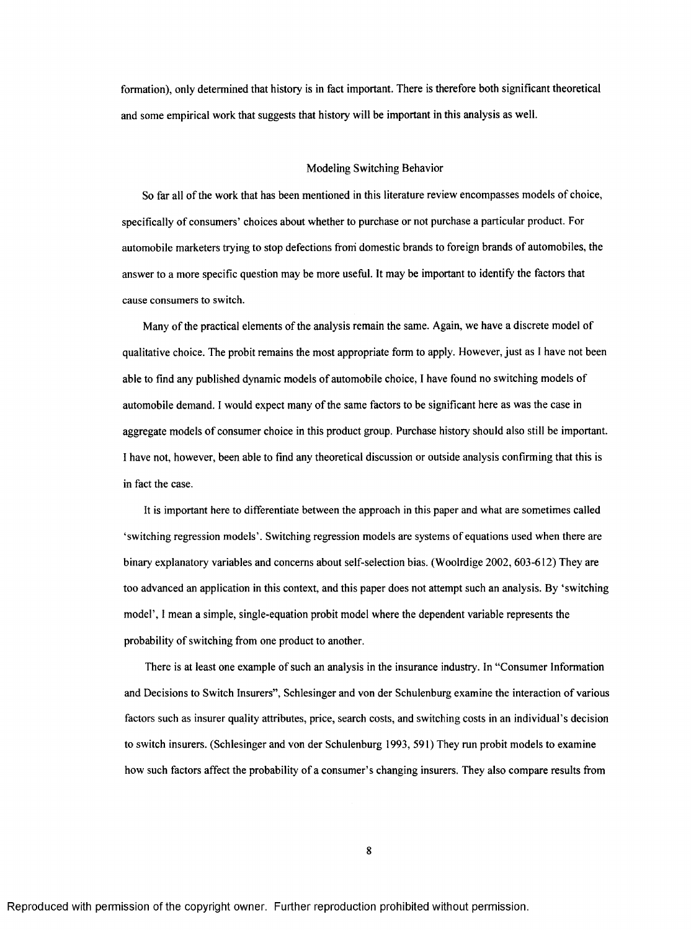formation), only determined that history is in fact important. There is therefore both significant theoretical and some empirical work that suggests that history will be important in this analysis as well.

#### Modeling Switching Behavior

So far all of the work that has been mentioned in this literature review encompasses models of choice, specifically of consumers' choices about whether to purchase or not purchase a particular product. For automobile marketers trying to stop defections froni domestic brands to foreign brands of automobiles, the answer to a more specific question may be more useful. It may be important to identify the factors that cause consumers to switch.

Many of the practical elements of the analysis remain the same. Again, we have a discrete model of qualitative choice. The probit remains the most appropriate form to apply. However, just as I have not been able to find any published dynamic models of automobile choice, I have found no switching models of automobile demand. I would expect many of the same factors to be significant here as was the case in aggregate models of consumer choice in this product group. Purchase history should also still be important. I have not, however, been able to find any theoretical discussion or outside analysis confirming that this is in fact the case.

It is important here to differentiate between the approach in this paper and what are sometimes called 'switching regression models'. Switching regression models are systems of equations used when there are binary explanatory variables and concerns about self-selection bias. (Woolrdige 2002, 603-612) They are too advanced an application in this context, and this paper does not attempt such an analysis. By 'switching model', 1 mean a simple, single-equation probit model where the dependent variable represents the probability of switching from one product to another.

There is at least one example of such an analysis in the insurance industry. In "Consumer Information and Decisions to Switch Insurers", Schlesinger and von der Schulenburg examine the interaction of various factors such as insurer quality attributes, price, search costs, and switching costs in an individual's decision to switch insurers. (Schlesinger and von der Schulenburg 1993, 591) They run probit models to examine how such factors affect the probability of a consumer's changing insurers. They also compare results from

8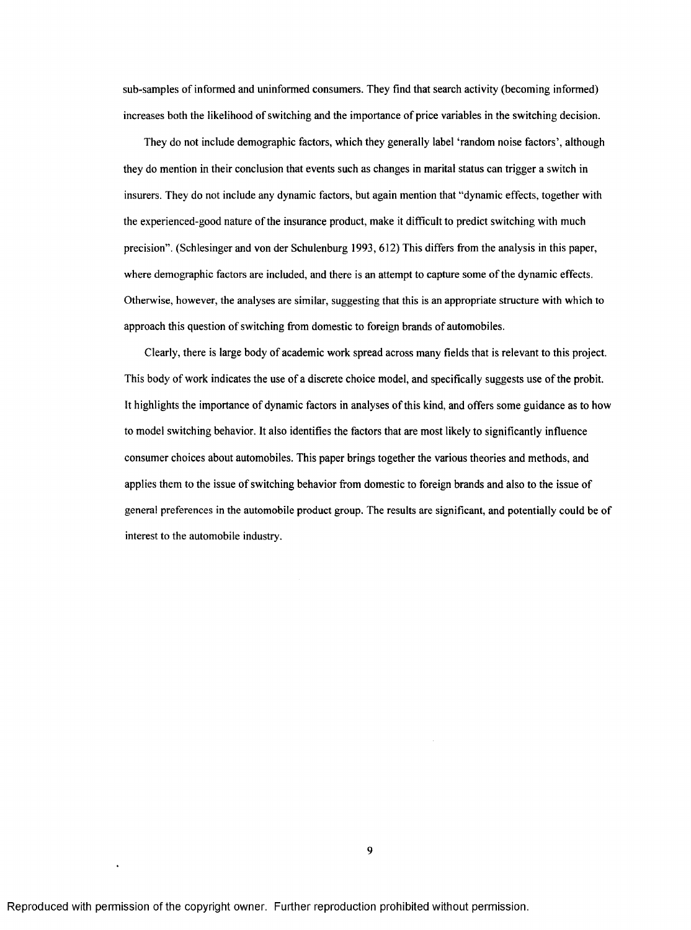sub-samples of informed and uninformed consumers. They find that search activity (becoming informed) increases both the likelihood of switching and the importance of price variables in the switching decision.

They do not include demographic factors, which they generally label 'random noise factors', although they do mention in their conclusion that events such as changes in marital status can trigger a switch in insurers. They do not include any dynamic factors, but again mention that "dynamic effects, together with the experienced-good nature of the insurance product, make it difficult to predict switching with much precision". (Schlesinger and von der Schulenburg 1993, 612) This differs from the analysis in this paper, where demographic factors are included, and there is an attempt to capture some of the dynamic effects. Otherwise, however, the analyses are similar, suggesting that this is an appropriate structure with which to approach this question of switching from domestic to foreign brands of automobiles.

Clearly, there is large body of academic work spread across many fields that is relevant to this project. This body of work indicates the use of a discrete choice model, and specifically suggests use of the probit. It highlights the importance of dynamic factors in analyses of this kind, and offers some guidance as to how to model switching behavior. It also identifies the factors that are most likely to significantly influence consumer choices about automobiles. This paper brings together the various theories and methods, and applies them to the issue of switching behavior from domestic to foreign brands and also to the issue of general preferences in the automobile product group. The results are significant, and potentially could be of interest to the automobile industry.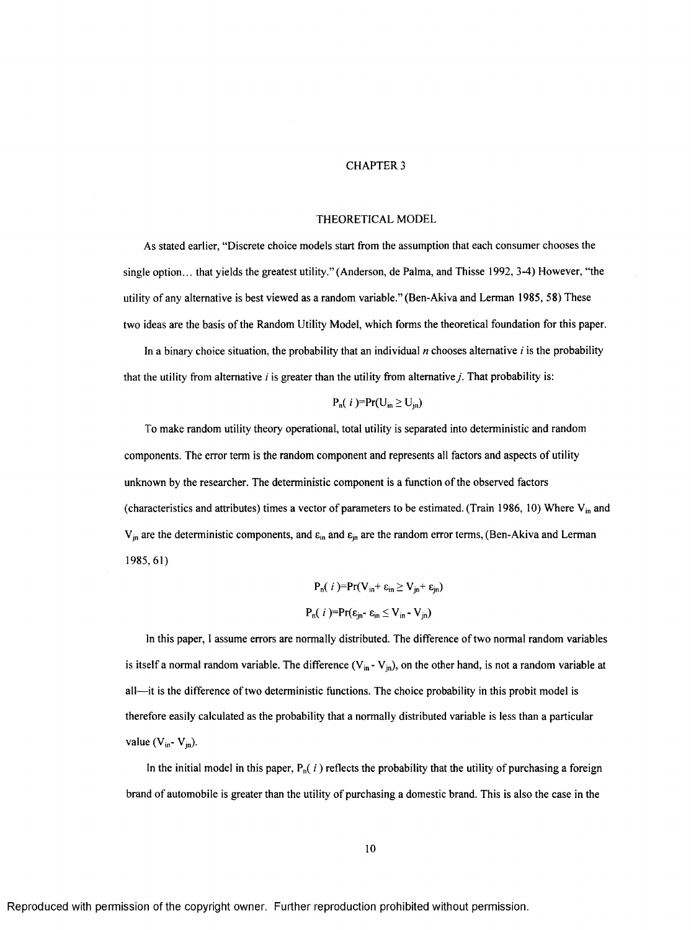#### CHAPTER 3

#### THEORETICAL MODEL

As stated earlier, "Discrete choice models start from the assumption that each consumer chooses the single option... that yields the greatest utility." (Anderson, de Palma, and Thisse 1992, 3-4) However, "the utility of any alternative is best viewed as a random variable." (Ben-Akiva and Lerman 1985, 58) These two ideas are the basis of the Random Utility Model, which forms the theoretical foundation for this paper.

In a binary choice situation, the probability that an individual  $n$  chooses alternative  $i$  is the probability that the utility from alternative  $i$  is greater than the utility from alternative  $j$ . That probability is:

## $P_n(i) = Pr(U_{in} \geq U_{in})$

To make random utility theory operational, total utility is separated into deterministic and random components. The error term is the random component and represents all factors and aspects of utility unknown by the researcher. The deterministic component is a function of the observed factors (characteristics and attributes) times a vector of parameters to be estimated. (Train 1986, 10) Where  $V_{in}$  and  $V_{jn}$  are the deterministic components, and  $\varepsilon_{in}$  and  $\varepsilon_{jn}$  are the random error terms, (Ben-Akiva and Lerman 1985,61)

$$
P_n(\ i)=Pr(V_{in} + \varepsilon_{in} \ge V_{jn} + \varepsilon_{jn})
$$
  

$$
P_n(\ i)=Pr(\varepsilon_{jn} - \varepsilon_{in} \le V_{in} - V_{jn})
$$

In this paper, I assume errors are normally distributed. The difference of two normal random variables is itself a normal random variable. The difference  $(V_{in} - V_{jn})$ , on the other hand, is not a random variable at all— it is the difference of two deterministic functions. The choice probability in this probit model is therefore easily calculated as the probability that a normally distributed variable is less than a particular value  $(V_{in} - V_{jn})$ .

In the initial model in this paper,  $P_n(i)$  reflects the probability that the utility of purchasing a foreign brand of automobile is greater than the utility of purchasing a domestic brand. This is also the case in the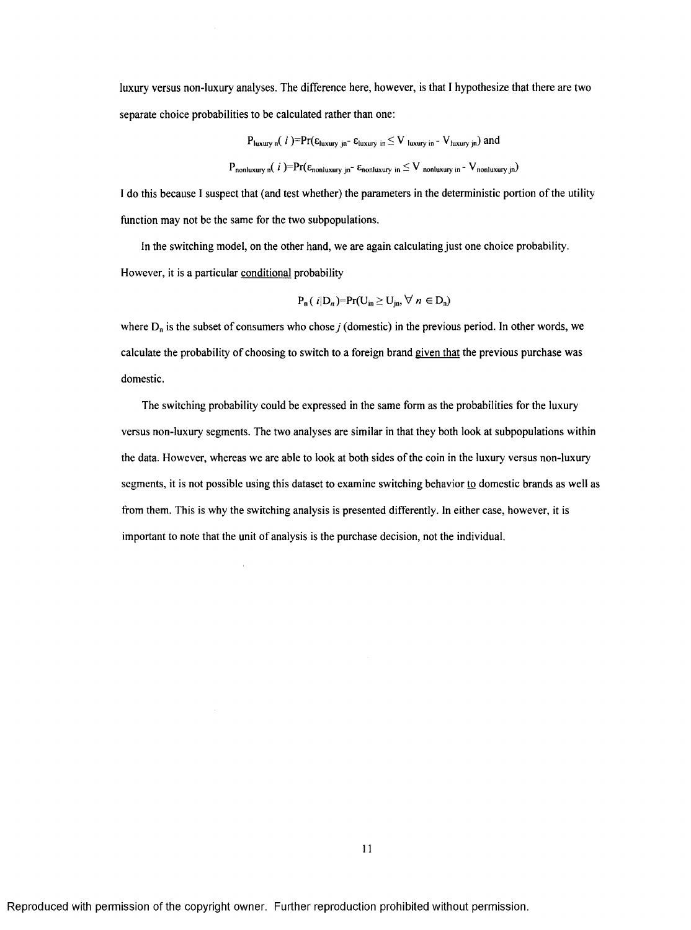luxury versus non-luxury analyses. The difference here, however, is that I hypothesize that there are two separate choice probabilities to be calculated rather than one:

$$
P_{\text{luxury n}}(i) = Pr(\epsilon_{\text{luxury jn}} - \epsilon_{\text{luxury in}} \le V_{\text{luxury in}} - V_{\text{luxury jn}}) \text{ and}
$$
\n
$$
P_{\text{nonluxury n}}(i) = Pr(\epsilon_{\text{nonluxury jn}} - \epsilon_{\text{nonluxury in}} \le V_{\text{nonluxury in}} - V_{\text{nonluxury jn}})
$$

I do this because I suspect that (and test whether) the parameters in the deterministic portion of the utility function may not be the same for the two subpopulations.

In the switching model, on the other hand, we are again calculating just one choice probability. However, it is a particular conditional probability

$$
P_n(\textit{i}|D_n)=Pr(U_{in}\geq U_{in},\forall n\in D_n)
$$

where  $D_n$  is the subset of consumers who chose *j* (domestic) in the previous period. In other words, we calculate the probability of choosing to switch to a foreign brand given that the previous purchase was domestic.

The switching probability could be expressed in the same form as the probabilities for the luxury versus non-luxury segments. The two analyses are similar in that they both look at subpopulations within the data. However, whereas we are able to look at both sides of the coin in the luxury versus non-luxury segments, it is not possible using this dataset to examine switching behavior to domestic brands as well as from them. This is why the switching analysis is presented differently. In either case, however, it is important to note that the unit of analysis is the purchase decision, not the individual.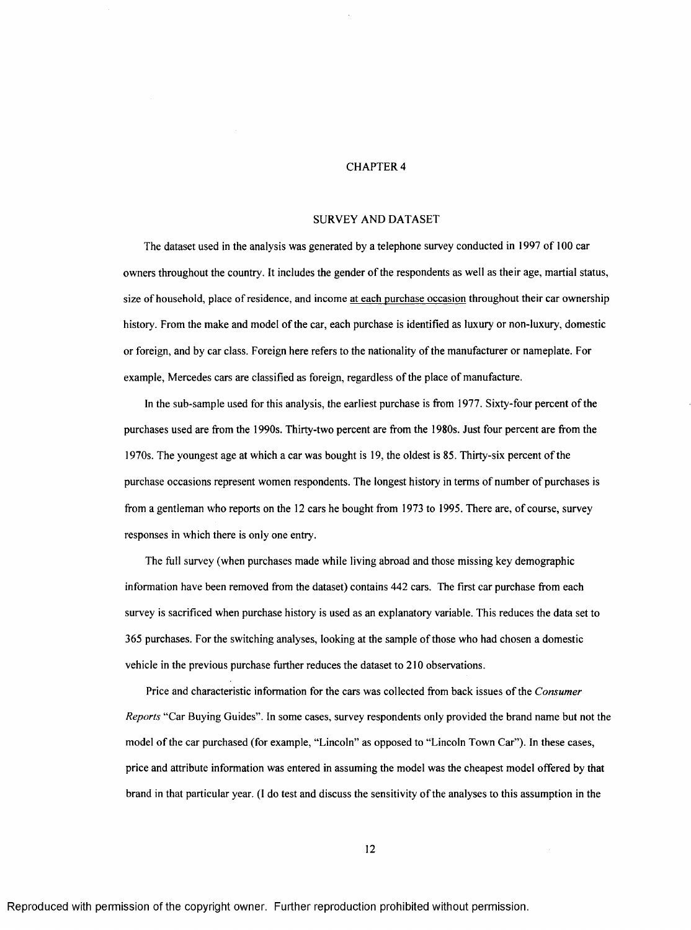## CHAPTER 4

#### SURVEY AND DATASET

The dataset used in the analysis was generated by a telephone survey conducted in 1997 of 100 car owners throughout the country. It includes the gender of the respondents as well as their age, martial status, size of household, place of residence, and income at each purchase occasion throughout their car ownership history. From the make and model of the car, each purchase is identified as luxury or non-luxury, domestic or foreign, and by car class. Foreign here refers to the nationality of the manufacturer or nameplate. For example, Mercedes cars are classified as foreign, regardless of the place of manufacture.

In the sub-sample used for this analysis, the earliest purchase is from 1977. Sixty-four percent of the purchases used are from the 1990s. Thirty-two percent are from the 1980s. Just four percent are from the 1970s. The youngest age at which a car was bought is 19, the oldest is 85. Thirty-six percent of the purchase occasions represent women respondents. The longest history in terms of number of purchases is from a gentleman who reports on the 12 cars he bought from 1973 to 1995. There are, of course, survey responses in which there is only one entry.

The full survey (when purchases made while living abroad and those missing key demographic information have been removed from the dataset) contains 442 cars. The first car purchase from each survey is sacrificed when purchase history is used as an explanatory variable. This reduces the data set to 365 purchases. For the switching analyses, looking at the sample of those who had chosen a domestic vehicle in the previous purchase further reduces the dataset to 210 observations.

Price and characteristic information for the cars was collected from back issues of the *Consumer Reports* "Car Buying Guides". In some cases, survey respondents only provided the brand name but not the model of the car purchased (for example, "Lincoln" as opposed to "Lincoln Town Car"). In these cases, price and attribute information was entered in assuming the model was the cheapest model offered by that brand in that particular year. (I do test and discuss the sensitivity o f the analyses to this assumption in the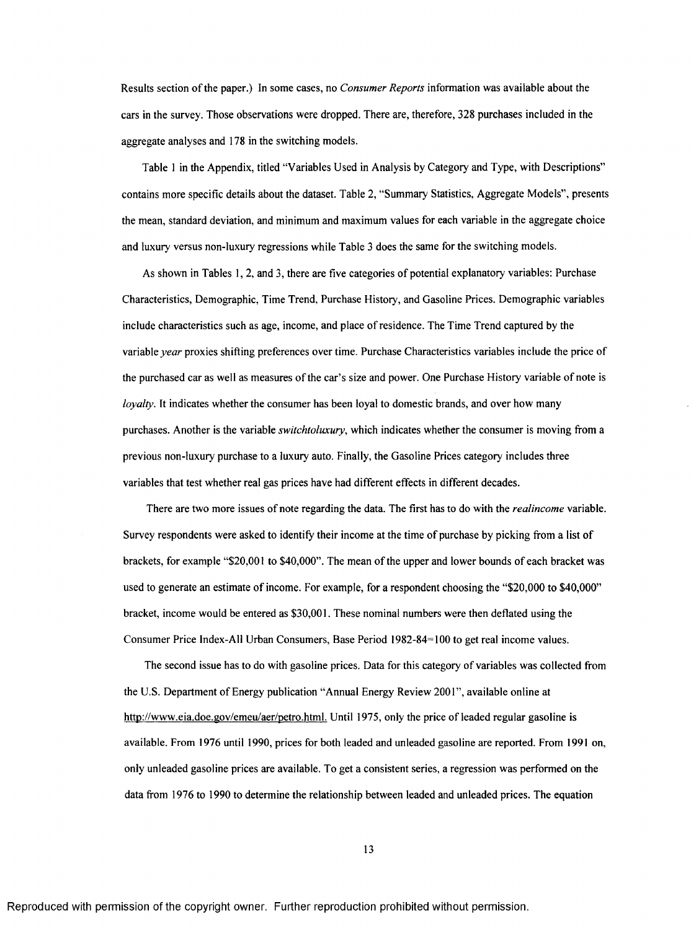Results section of the paper.) In some cases, no *Consumer Reports* information was available about the cars in the survey. Those observations were dropped. There are, therefore, 328 purchases included in the aggregate analyses and 178 in the switching models.

Table 1 in the Appendix, titled "Variables Used in Analysis by Category and Type, with Descriptions" contains more specific details about the dataset. Table 2, "Summary Statistics, Aggregate Models", presents the mean, standard deviation, and minimum and maximum values for each variable in the aggregate choice and luxury versus non-luxury regressions while Table 3 does the same for the switching models.

As shown in Tables 1, 2, and 3, there are five categories of potential explanatory variables: Purchase Characteristics, Demographic, Time Trend, Purchase History, and Gasoline Prices. Demographic variables include characteristics such as age, income, and place of residence. The Time Trend captured by the variable *year* proxies shifting preferences over time. Purchase Characteristics variables include the price of the purchased car as well as measures of the car's size and power. One Purchase History variable of note is *loyalty*. It indicates whether the consumer has been loyal to domestic brands, and over how many purchases. Another is the variable *switchtoluxury,* which indicates whether the consumer is moving from a previous non-luxury purchase to a luxury auto. Finally, the Gasoline Prices category includes three variables that test whether real gas prices have had different effects in different decades.

There are two more issues of note regarding the data. The first has to do with the *realincome* variable. Survey respondents were asked to identify their income at the time of purchase by picking from a list of brackets, for example "\$20,001 to \$40,000". The mean of the upper and lower bounds of each bracket was used to generate an estimate of income. For example, for a respondent choosing the "\$20,000 to \$40,000" bracket, income would be entered as \$30,001. These nominal numbers were then deflated using the Consumer Price Index-All Urban Consumers, Base Period 1982-84=100 to get real income values.

The second issue has to do with gasoline prices. Data for this category of variables was collected from the U.S. Department of Energy publication "Annual Energy Review 2001", available online at [http://www.eia.doe.gov/emeu/aer/petro.html.](http://www.eia.doe.gov/emeu/aer/petro.html) Until 1975, only the price of leaded regular gasoline is available. From 1976 until 1990, prices for both leaded and unleaded gasoline are reported. From 1991 on, only unleaded gasoline prices are available. To get a consistent series, a regression was performed on the data from 1976 to 1990 to determine the relationship between leaded and unleaded prices. The equation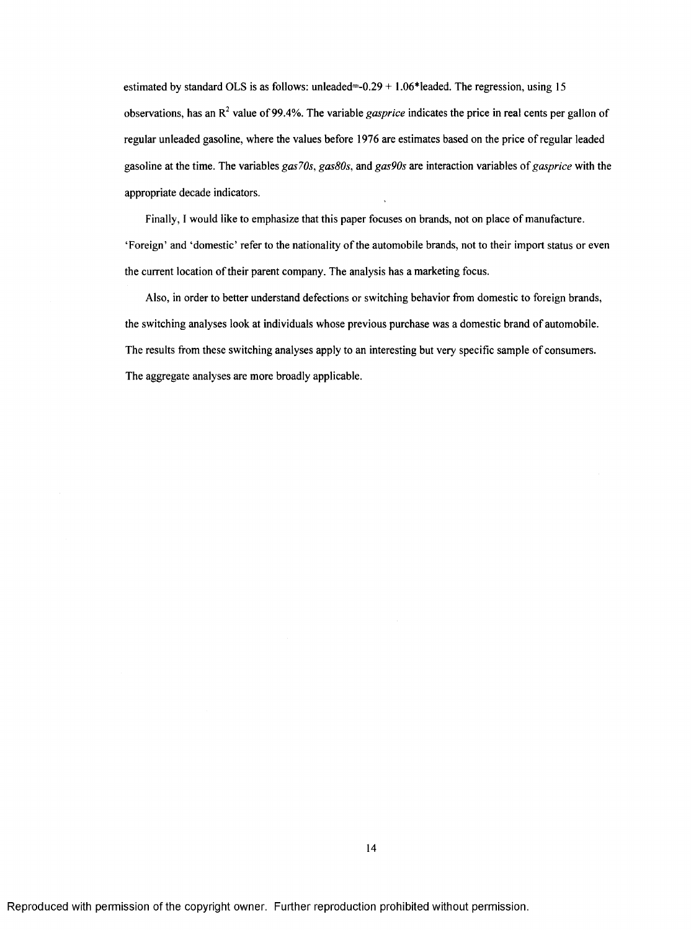estimated by standard OLS is as follows: unleaded= $-0.29 + 1.06*$ leaded. The regression, using 15 observations, has an  $R^2$  value of 99.4%. The variable *gasprice* indicates the price in real cents per gallon of regular unleaded gasoline, where the values before 1976 are estimates based on the price of regular leaded gasoline at the time. The variables *gas70s, gasSOs,* and *gas90s* are interaction variables of *gasprice* with the appropriate decade indicators.

Finally, I would like to emphasize that this paper focuses on brands, not on place of manufacture. 'Foreign' and 'domestic' refer to the nationality of the automobile brands, not to their import status or even the current location of their parent company. The analysis has a marketing focus.

Also, in order to better understand defections or switching behavior from domestic to foreign brands, the switching analyses look at individuals whose previous purchase was a domestic brand of automobile. The results from these switching analyses apply to an interesting but very specific sample of consumers. The aggregate analyses are more broadly applicable.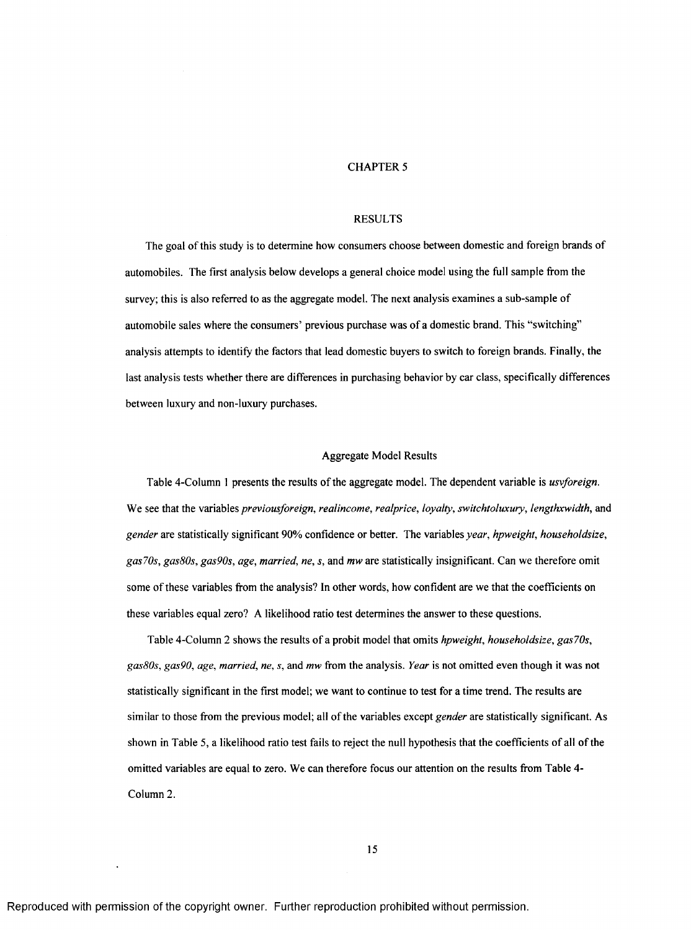#### CHAPTER 5

#### RESULTS

The goal of this study is to determine how consumers choose between domestic and foreign brands of automobiles. The first analysis below develops a general choice model using the full sample from the survey; this is also referred to as the aggregate model. The next analysis examines a sub-sample of automobile sales where the consumers' previous purchase was of a domestic brand. This "switching" analysis attempts to identify the factors that lead domestic buyers to switch to foreign brands. Finally, the last analysis tests whether there are differences in purchasing behavior by car class, specifically differences between luxury and non-luxury purchases.

#### Aggregate Model Results

Table 4-Column 1 presents the results of the aggregate model. The dependent variable is *usvforeign.* We see that the variables *previousforeign, realincome, realprice, loyalty, switchtoluxury, lengthxwidth,* and *gender* are statistically significant 90% confidence or better. The variables *year, hpweight, householdsize, gas70s, gasSOs, gas90s, age, married, ne, s,* and *mw* are statistically insignificant. Can we therefore omit some of these variables from the analysis? In other words, how confident are we that the coefficients on these variables equal zero? A likelihood ratio test determines the answer to these questions.

Table 4-Column 2 shows the results of a probit model that omits *hpweight, householdsize, gas70s, gasSOs, gas90, age, married, ne, s,* and *mw* from the analysis. *Year* is not omitted even though it was not statistically significant in the first model; we want to continue to test for a time trend. The results are similar to those from the previous model; all of the variables except *gender* are statistically significant. As shown in Table 5, a likelihood ratio test fails to reject the null hypothesis that the coefficients of all of the omitted variables are equal to zero. We can therefore focus our attention on the results from Table 4- Column 2.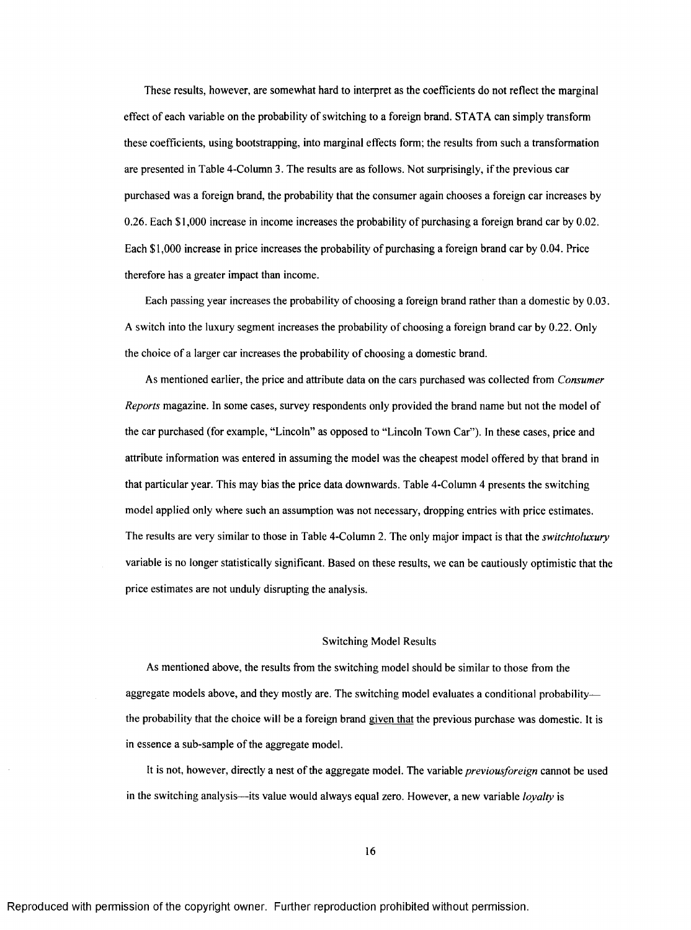These results, however, are somewhat hard to interpret as the coefficients do not reflect the marginal effect of each variable on the probability of switching to a foreign brand. STATA can simply transform these coefficients, using bootstrapping, into marginal effects form; the results from such a transformation are presented in Table 4-Column 3. The results are as follows. Not surprisingly, if the previous car purchased was a foreign brand, the probability that the consumer again chooses a foreign car increases by 0.26. Each \$1,000 increase in income increases the probability of purchasing a foreign brand car by 0.02. Each \$1,000 increase in price increases the probability of purchasing a foreign brand car by 0.04. Price therefore has a greater impact than income.

Each passing year increases the probability of choosing a foreign brand rather than a domestic by 0.03. A switch into the luxury segment increases the probability of choosing a foreign brand car by 0.22. Only the choice of a larger car increases the probability of choosing a domestic brand.

As mentioned earlier, the price and attribute data on the cars purchased was collected from *Consumer Reports* magazine. In some cases, survey respondents only provided the brand name but not the model of the car purchased (for example, "Lincoln" as opposed to "Lincoln Town Car"). In these cases, price and attribute information was entered in assuming the model was the cheapest model offered by that brand in that particular year. This may bias the price data downwards. Table 4-Column 4 presents the switching model applied only where such an assumption was not necessary, dropping entries with price estimates. The results are very similar to those in Table 4-Column 2. The only major impact is that the *switchtoluxury* variable is no longer statistically significant. Based on these results, we can be cautiously optimistic that the price estimates are not unduly disrupting the analysis.

#### Switching Model Results

As mentioned above, the results from the switching model should be similar to those from the aggregate models above, and they mostly are. The switching model evaluates a conditional probability the probability that the choice will be a foreign brand given that the previous purchase was domestic. It is in essence a sub-sample of the aggregate model.

It is not, however, directly a nest of the aggregate model. The variable *previousforeign* cannot be used in the switching analysis— its value would always equal zero. However, a new variable *loyalty* is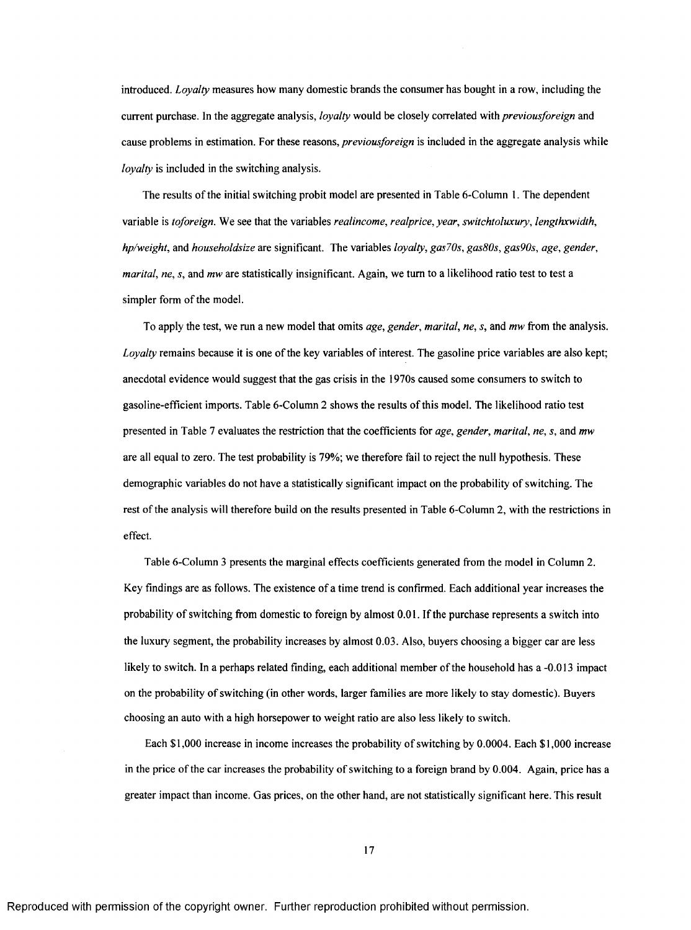introduced. *Loyalty* measures how many domestic brands the consumer has bought in a row, including the current purchase. In the aggregate analysis, *loyalty* would be closely correlated with *previousforeign* and cause problems in estimation. For these *reasons, previousforeign* is included in the aggregate analysis while *loyalty* is included in the switching analysis.

The results of the initial switching probit model are presented in Table 6-Column 1. The dependent variable is *toforeign.* We see that the variables *realincome, realprice, year, switchtoluxury, lengthxwidth, hp/weight,* and *householdsize* are significant. The variables *loyalty, gas70s, gas80s, gas90s, age, gender, marital, ne, s, and mw* are statistically insignificant. Again, we turn to a likelihood ratio test to test a simpler form of the model.

To apply the test, we run a new model that omits *age, gender, marital, ne, s,* and *mw* from the analysis. *Loyalty* remains because it is one of the key variables of interest. The gasoline price variables are also kept; anecdotal evidence would suggest that the gas crisis in the 1970s caused some consumers to switch to gasoline-efficient imports. Table 6-Column 2 shows the results of this model. The likelihood ratio test presented in Table 7 evaluates the restriction that the coefficients for *age, gender, marital, ne, s,* and *mw* are all equal to zero. The test probability is 79%; we therefore fail to reject the null hypothesis. These demographic variables do not have a statistically significant impact on the probability of switching. The rest of the analysis will therefore build on the results presented in Table 6-Column 2, with the restrictions in effect.

Table 6-Column 3 presents the marginal effects coefficients generated from the model in Column 2. Key findings are as follows. The existence of a time trend is confirmed. Each additional year increases the probability of switching from domestic to foreign by almost 0.01. If the purchase represents a switch into the luxury segment, the probability increases by almost 0.03. Also, buyers choosing a bigger car are less likely to switch. In a perhaps related finding, each additional member of the household has a -0.013 impact on the probability of switching (in other words, larger families are more likely to stay domestic). Buyers choosing an auto with a high horsepower to weight ratio are also less likely to switch.

Each \$1,000 increase in income increases the probability of switching by 0.0004. Each \$1,000 increase in the price of the car increases the probability of switching to a foreign brand by 0.004. Again, price has a greater impact than income. Gas prices, on the other hand, are not statistically significant here. This result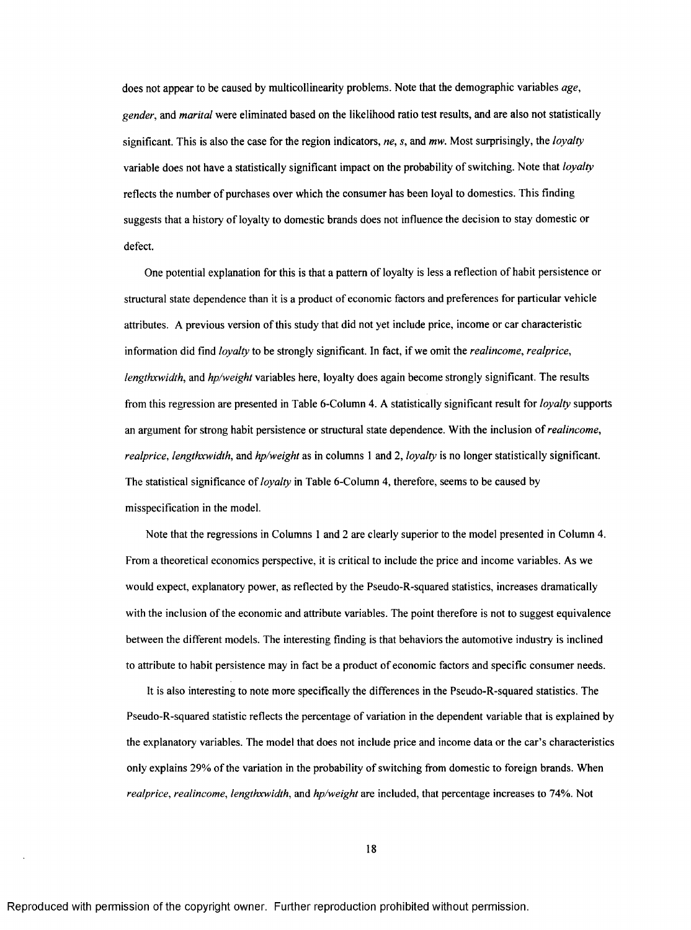does not appear to be caused by multicollinearity problems. Note that the demographic variables *age, gender,* and *marital* were eliminated based on the likelihood ratio test results, and are also not statistically significant. This is also the case for the region indicators, *ne, s,* and *mw.* Most surprisingly, the *loyalty* variable does not have a statistically significant impact on the probability of switching. Note that *loyalty* reflects the number of purchases over which the consumer has been loyal to domestics. This finding suggests that a history of loyalty to domestic brands does not influence the decision to stay domestic or defect.

One potential explanation for this is that a pattern of loyalty is less a reflection of habit persistence or structural state dependence than it is a product of economic factors and preferences for particular vehicle attributes. A previous version of this study that did not yet include price, income or car characteristic information did find *loyalty* to be strongly significant. In fact, if we omit the *realincome, realprice, lengthxwidth,* and *hp/weight* variables here, loyalty does again become strongly significant. The results from this regression are presented in Table 6-Column 4. A statistically significant result for *loyalty* supports an argument for strong habit persistence or structural state dependence. With the inclusion of *realincome, realprice, lengthxwidth,* and *hp/weight* as in columns I and 2, *loyalty* is no longer statistically significant. The statistical significance of *loyalty* in Table 6-Column 4, therefore, seems to be caused by misspecification in the model.

Note that the regressions in Columns 1 and 2 are clearly superior to the model presented in Column 4. From a theoretical economics perspective, it is critical to include the price and income variables. As we would expect, explanatory power, as reflected by the Pseudo-R-squared statistics, increases dramatically with the inclusion of the economic and attribute variables. The point therefore is not to suggest equivalence between the different models. The interesting finding is that behaviors the automotive industry is inclined to attribute to habit persistence may in fact be a product of economic factors and specific consumer needs.

It is also interesting to note more specifically the differences in the Pseudo-R-squared statistics. The Pseudo-R-squared statistic reflects the percentage of variation in the dependent variable that is explained by the explanatory variables. The model that does not include price and income data or the car's characteristics only explains 29% of the variation in the probability of switching from domestic to foreign brands. When *realprice, realincome, lengthxwidth,* and *hp/weight* are included, that percentage increases to 74%. Not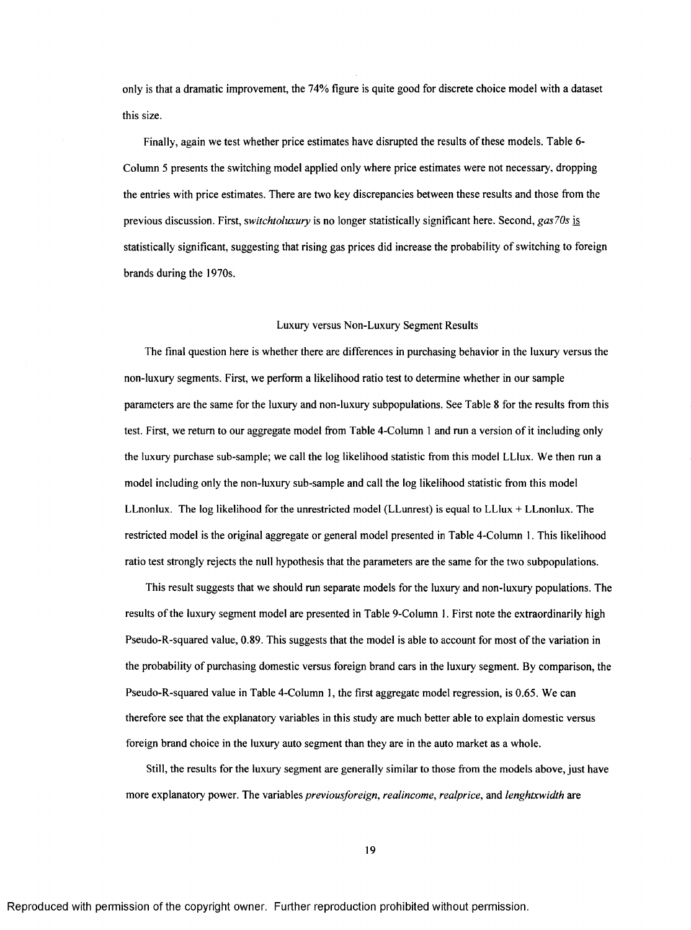only is that a dramatic improvement, the 74% figure is quite good for discrete choice model with a dataset this size.

Finally, again we test whether price estimates have disrupted the results of these models. Table 6- Column 5 presents the switching model applied only where price estimates were not necessary, dropping the entries with price estimates. There are two key discrepancies between these results and those from the previous discussion. First, *switchtoluxury* is no longer statistically significant here. Second, *gasJOs* is statistically significant, suggesting that rising gas prices did increase the probability of switching to foreign brands during the 1970s.

#### Luxury versus Non-Luxury Segment Results

The final question here is whether there are differences in purchasing behavior in the luxury versus the non-luxury segments. First, we perform a likelihood ratio test to determine whether in our sample parameters are the same for the luxury and non-luxury subpopulations. See Table 8 for the results from this test. First, we return to our aggregate model from Table 4-Column 1 and run a version of it including only the luxury purchase sub-sample; we call the log likelihood statistic from this model LLlux. We then run a model including only the non-luxury sub-sample and call the log likelihood statistic from this model LLnonlux. The log likelihood for the unrestricted model (LLunrest) is equal to LLlux  $+$  LLnonlux. The restricted model is the original aggregate or general model presented in Table 4-Column 1. This likelihood ratio test strongly rejects the null hypothesis that the parameters are the same for the two subpopulations.

This result suggests that we should run separate models for the luxury and non-luxury populations. The results of the luxury segment model are presented in Table 9-Column 1. First note the extraordinarily high Pseudo-R-squared value, 0.89. This suggests that the model is able to account for most of the variation in the probability of purchasing domestic versus foreign brand cars in the luxury segment. By comparison, the Pseudo-R-squared value in Table 4-Column 1, the first aggregate model regression, is 0.65. We can therefore see that the explanatory variables in this study are much better able to explain domestic versus foreign brand choice in the luxury auto segment than they are in the auto market as a whole.

Still, the results for the luxury segment are generally similar to those from the models above, just have more explanatory power. The variables *previousforeign, realincome, realprice,* and *lenghtxwidth* are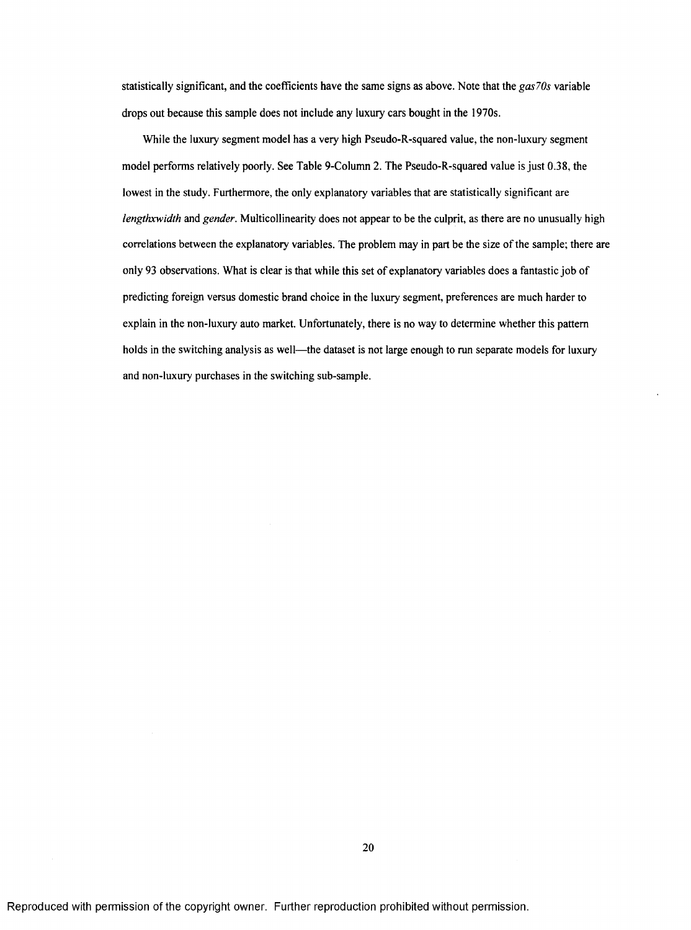statistically significant, and the coefficients have the same signs as above. Note that the *gas70s* variable drops out because this sample does not include any luxury cars bought in the 1970s.

While the luxury segment model has a very high Pseudo-R-squared value, the non-luxury segment model performs relatively poorly. See Table 9-Column 2. The Pseudo-R-squared value is just 0.38, the lowest in the study. Furthermore, the only explanatory variables that are statistically significant are *lengthxwidth* and *gender.* Multicollinearity does not appear to be the culprit, as there are no unusually high correlations between the explanatory variables. The problem may in part be the size of the sample; there are only 93 observations. What is clear is that while this set of explanatory variables does a fantastic job of predicting foreign versus domestic brand choice in the luxury segment, preferences are much harder to explain in the non-luxury auto market. Unfortunately, there is no way to determine whether this pattern holds in the switching analysis as well—the dataset is not large enough to run separate models for luxury and non-luxury purchases in the switching sub-sample.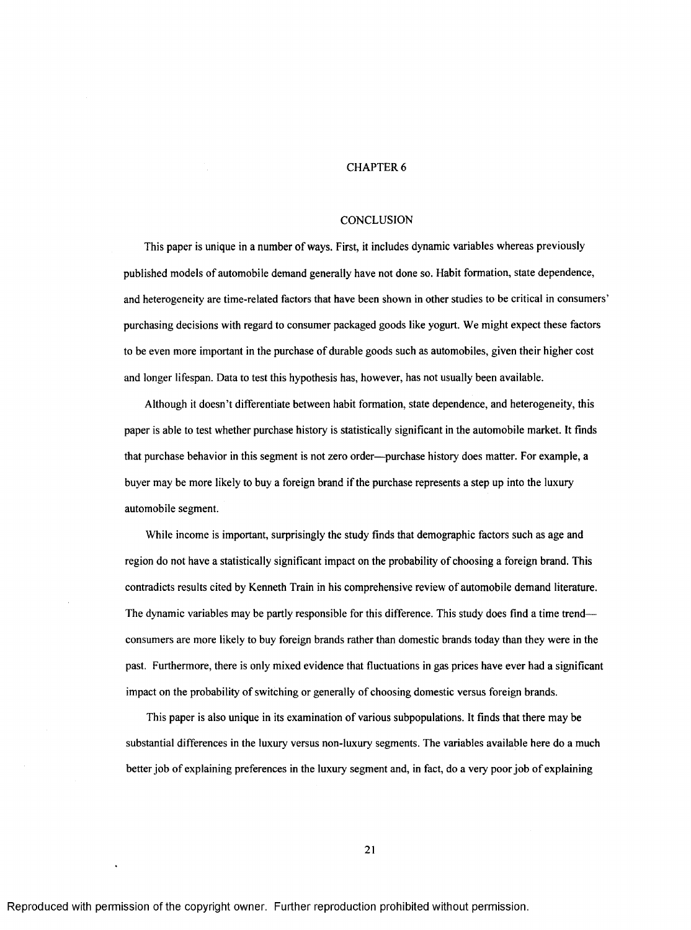#### CHAPTER 6

#### **CONCLUSION**

This paper is unique in a number of ways. First, it includes dynamic variables whereas previously published models of automobile demand generally have not done so. Habit formation, state dependence, and heterogeneity are time-related factors that have been shown in other studies to be critical in consumers' purchasing decisions with regard to consumer packaged goods like yogurt. We might expect these factors to be even more important in the purchase of durable goods such as automobiles, given their higher cost and longer lifespan. Data to test this hypothesis has, however, has not usually been available.

Although it doesn't differentiate between habit formation, state dependence, and heterogeneity, this paper is able to test whether purchase history is statistically significant in the automobile market. It finds that purchase behavior in this segment is not zero order—purchase history does matter. For example, a buyer may be more likely to buy a foreign brand if the purchase represents a step up into the luxury automobile segment.

While income is important, surprisingly the study finds that demographic factors such as age and region do not have a statistically significant impact on the probability of choosing a foreign brand. This contradicts results cited by Kenneth Train in his comprehensive review of automobile demand literature. The dynamic variables may be partly responsible for this difference. This study does find a time trend consumers are more likely to buy foreign brands rather than domestic brands today than they were in the past. Furthermore, there is only mixed evidence that fluctuations in gas prices have ever had a significant impact on the probability of switching or generally of choosing domestic versus foreign brands.

This paper is also unique in its examination of various subpopulations. It finds that there may be substantial differences in the luxury versus non-luxury segments. The variables available here do a much better job of explaining preferences in the luxury segment and, in fact, do a very poor job of explaining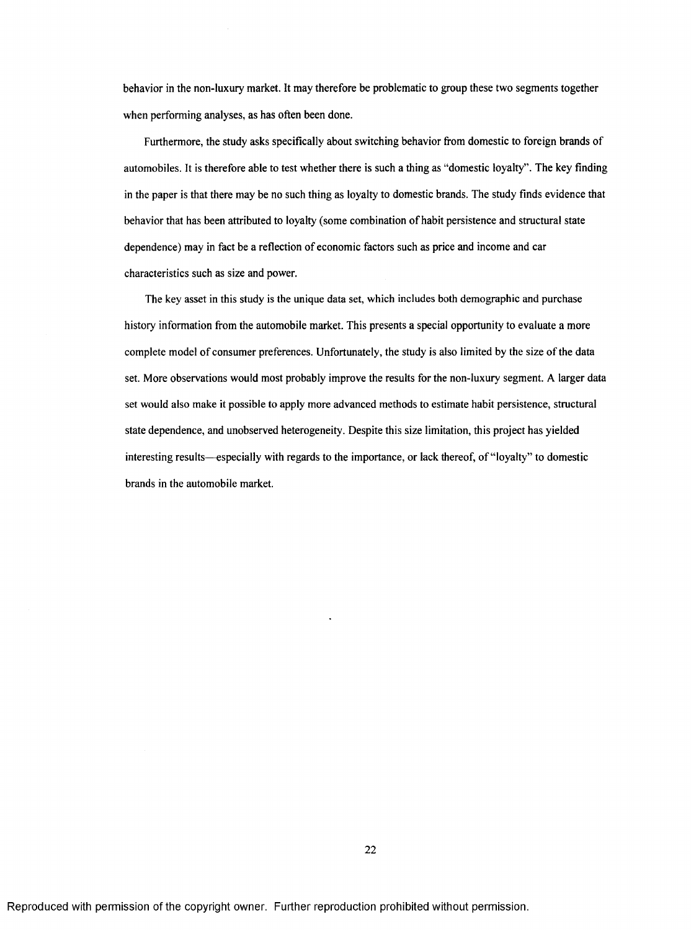behavior in the non-luxury market. It may therefore be problematic to group these two segments together when performing analyses, as has often been done.

Furthermore, the study asks specifically about switching behavior from domestic to foreign brands of automobiles. It is therefore able to test whether there is such a thing as "domestic loyalty". The key finding in the paper is that there may be no such thing as loyalty to domestic brands. The study finds evidence that behavior that has been attributed to loyalty (some combination of habit persistence and structural state dependence) may in fact be a reflection of economic factors such as price and income and car characteristics such as size and power.

The key asset in this study is the unique data set, which includes both demographic and purchase history information from the automobile market. This presents a special opportunity to evaluate a more complete model of consumer preferences. Unfortunately, the study is also limited by the size of the data set. More observations would most probably improve the results for the non-luxury segment. A larger data set would also make it possible to apply more advanced methods to estimate habit persistence, structural state dependence, and unobserved heterogeneity. Despite this size limitation, this project has yielded interesting results—especially with regards to the importance, or lack thereof, of "loyalty" to domestic brands in the automobile market.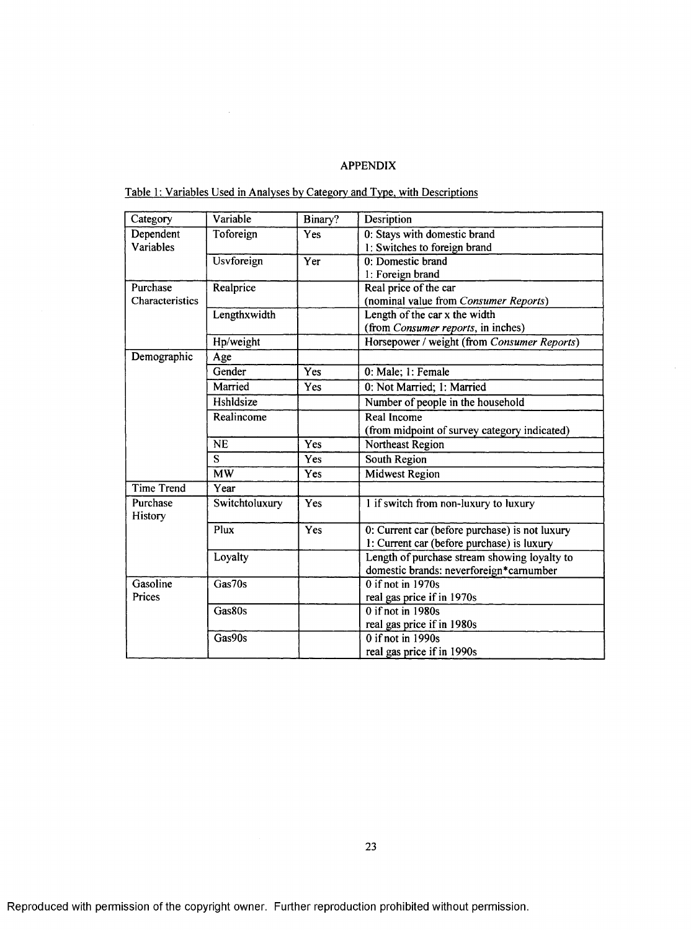## APPENDIX

Table 1: Variables Used in Analyses by Category and Type, with Descriptions

 $\bar{\beta}$ 

| Category          | Variable          | Binary?          | Desription                                     |
|-------------------|-------------------|------------------|------------------------------------------------|
| Dependent         | Toforeign         | Yes              | 0: Stays with domestic brand                   |
| Variables         |                   |                  | 1: Switches to foreign brand                   |
|                   | <b>Usvforeign</b> | Yer              | 0: Domestic brand                              |
|                   |                   |                  | 1: Foreign brand                               |
| Purchase          | Realprice         |                  | Real price of the car                          |
| Characteristics   |                   |                  | (nominal value from Consumer Reports)          |
|                   | Lengthxwidth      |                  | Length of the car x the width                  |
|                   |                   |                  | (from Consumer reports, in inches)             |
|                   | Hp/weight         |                  | Horsepower / weight (from Consumer Reports)    |
| Demographic       | Age               |                  |                                                |
|                   | Gender            | Yes              | 0: Male; 1: Female                             |
|                   | Married           | Yes              | 0: Not Married; 1: Married                     |
|                   | Hshldsize         |                  | Number of people in the household              |
|                   | Realincome        |                  | Real Income                                    |
|                   |                   |                  | (from midpoint of survey category indicated)   |
|                   | <b>NE</b>         | Yes              | Northeast Region                               |
|                   | S                 | Yes              | South Region                                   |
|                   | $\overline{MW}$   | Yes              | <b>Midwest Region</b>                          |
| <b>Time Trend</b> | Year              |                  |                                                |
| Purchase          | Switchtoluxury    | Yes              | 1 if switch from non-luxury to luxury          |
| History           |                   |                  |                                                |
|                   | Plux              | $\overline{Yes}$ | 0: Current car (before purchase) is not luxury |
|                   |                   |                  | 1: Current car (before purchase) is luxury     |
|                   | Loyalty           |                  | Length of purchase stream showing loyalty to   |
|                   |                   |                  | domestic brands: neverforeign*carnumber        |
| Gasoline          | Gas70s            |                  | $\overline{0}$ if not in 1970s                 |
| Prices            |                   |                  | real gas price if in 1970s                     |
|                   | Gas80s            |                  | $0$ if not in 1980s                            |
|                   |                   |                  | real gas price if in 1980s                     |
|                   | Gas90s            |                  | $0$ if not in 1990s                            |
|                   |                   |                  | real gas price if in 1990s                     |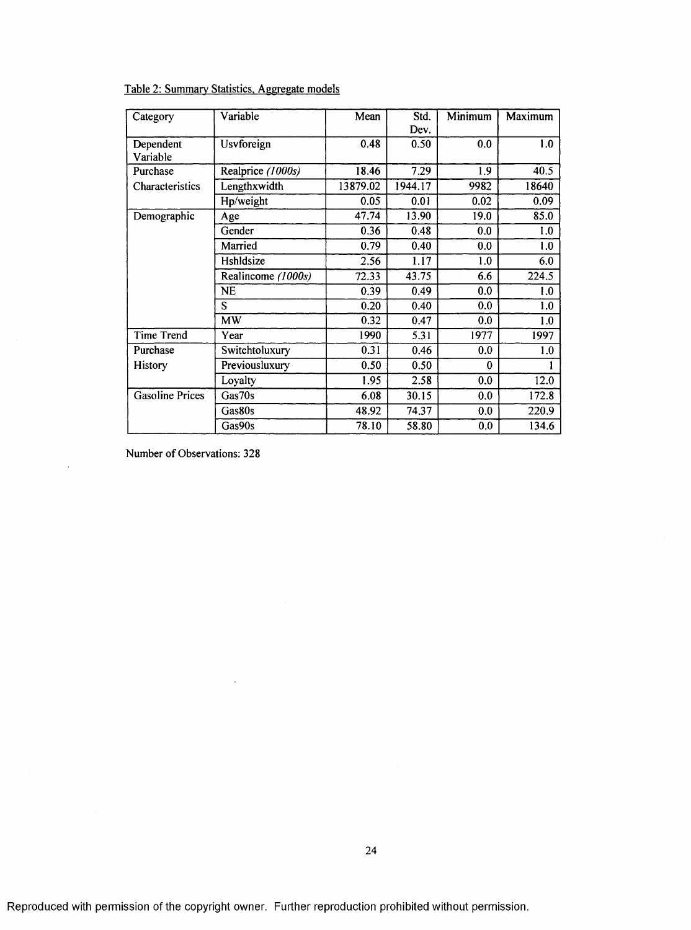Table 2: Summary Statistics. Aggregate models

| Category               | Variable           | Mean     | Std.    | <b>Minimum</b> | Maximum |
|------------------------|--------------------|----------|---------|----------------|---------|
|                        |                    |          | Dev.    |                |         |
| Dependent              | Usvforeign         | 0.48     | 0.50    | 0.0            | 1.0     |
| Variable               |                    |          |         |                |         |
| Purchase               | Realprice (1000s)  | 18.46    | 7.29    | 1.9            | 40.5    |
| Characteristics        | Lengthxwidth       | 13879.02 | 1944.17 | 9982           | 18640   |
|                        | Hp/weight          | 0.05     | 0.01    | 0.02           | 0.09    |
| Demographic            | Age                | 47.74    | 13.90   | 19.0           | 85.0    |
|                        | Gender             | 0.36     | 0.48    | 0.0            | 1.0     |
|                        | Married            | 0.79     | 0.40    | 0.0            | 1.0     |
|                        | Hshldsize          | 2.56     | 1.17    | 1.0            | 6.0     |
|                        | Realincome (1000s) | 72.33    | 43.75   | 6.6            | 224.5   |
|                        | NE                 | 0.39     | 0.49    | 0.0            | 1.0     |
|                        | S                  | 0.20     | 0.40    | 0.0            | 1.0     |
|                        | <b>MW</b>          | 0.32     | 0.47    | 0.0            | 1.0     |
| <b>Time Trend</b>      | Year               | 1990     | 5.31    | 1977           | 1997    |
| Purchase               | Switchtoluxury     | 0.31     | 0.46    | 0.0            | 1.0     |
| History                | Previousluxury     | 0.50     | 0.50    | $\mathbf 0$    |         |
|                        | Loyalty            | 1.95     | 2.58    | 0.0            | 12.0    |
| <b>Gasoline Prices</b> | Gas70s             | 6.08     | 30.15   | 0.0            | 172.8   |
|                        | Gas80s             | 48.92    | 74.37   | 0.0            | 220.9   |
|                        | Gas90s             | 78.10    | 58.80   | 0.0            | 134.6   |

Number of Observations: 328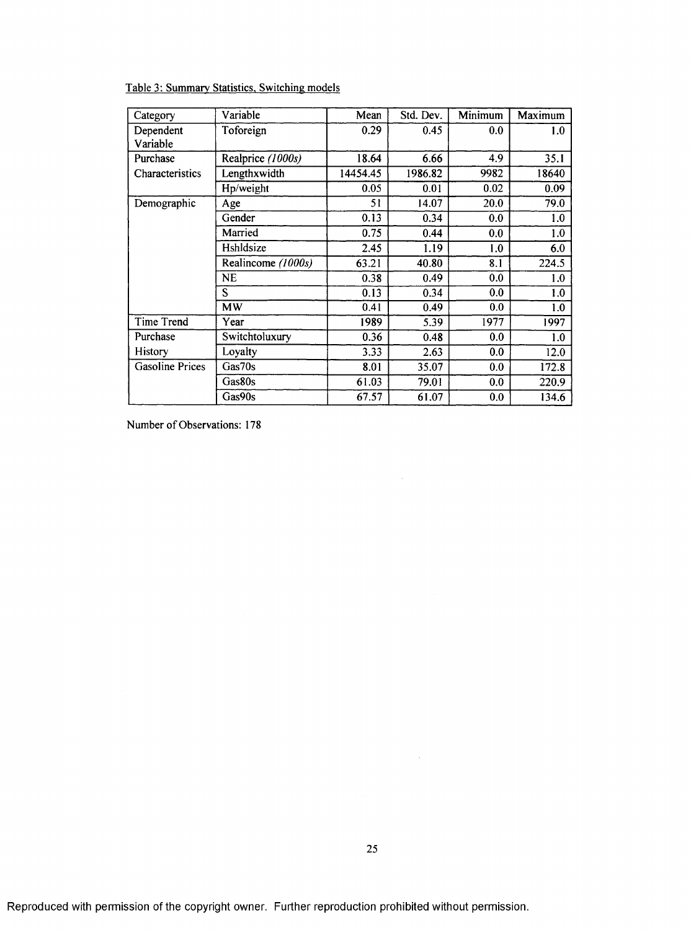Table 3: Summary Statistics, Switching models

| Category               | Variable           | Mean     | Std. Dev. | Minimum | Maximum |
|------------------------|--------------------|----------|-----------|---------|---------|
| Dependent              | Toforeign          | 0.29     | 0.45      | 0.0     | 1.0     |
| Variable               |                    |          |           |         |         |
| Purchase               | Realprice (1000s)  | 18.64    | 6.66      | 4.9     | 35.1    |
| Characteristics        | Lengthxwidth       | 14454.45 | 1986.82   | 9982    | 18640   |
|                        | Hp/weight          | 0.05     | 0.01      | 0.02    | 0.09    |
| Demographic            | Age                | 51       | 14.07     | 20.0    | 79.0    |
|                        | Gender             | 0.13     | 0.34      | 0.0     | 1.0     |
|                        | Married            | 0.75     | 0.44      | 0.0     | 1.0     |
|                        | Hshldsize          | 2.45     | 1.19      | 1.0     | 6.0     |
|                        | Realincome (1000s) | 63.21    | 40.80     | 8.1     | 224.5   |
|                        | <b>NE</b>          | 0.38     | 0.49      | 0.0     | 1.0     |
|                        | Ŝ                  | 0.13     | 0.34      | 0.0     | 1.0     |
|                        | MW                 | 0.41     | 0.49      | 0.0     | 1.0     |
| Time Trend             | Year               | 1989     | 5.39      | 1977    | 1997    |
| Purchase               | Switchtoluxury     | 0.36     | 0.48      | 0.0     | 1.0     |
| History                | Loyalty            | 3.33     | 2.63      | 0.0     | 12.0    |
| <b>Gasoline Prices</b> | Gas70s             | 8.01     | 35.07     | 0.0     | 172.8   |
|                        | Gas80s             | 61.03    | 79.01     | 0.0     | 220.9   |
|                        | Gas90s             | 67.57    | 61.07     | 0.0     | 134.6   |

Number of Observations: 178

 $\hat{\boldsymbol{\beta}}$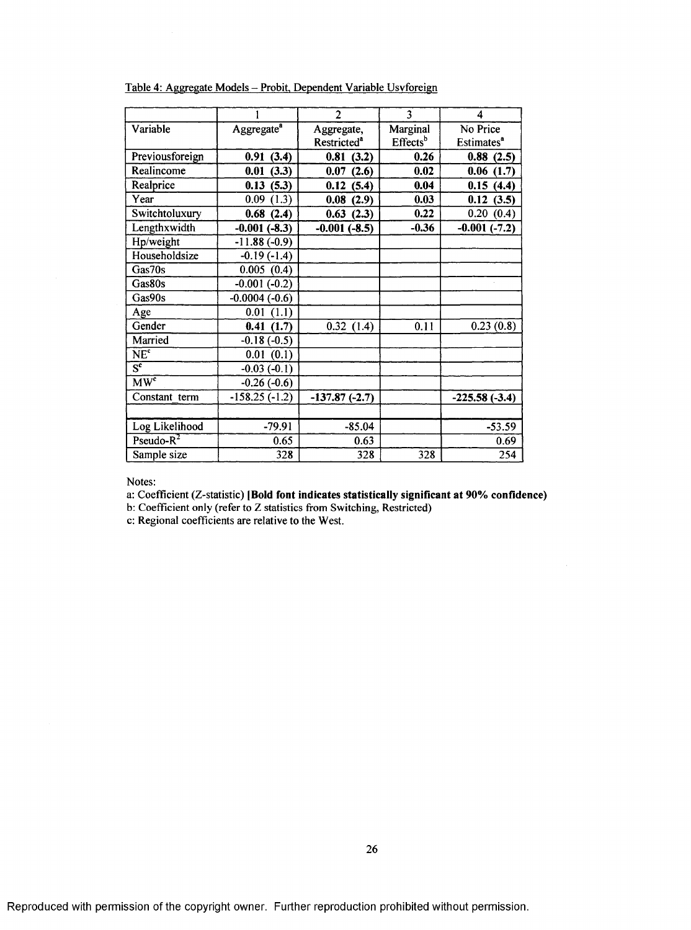|                              |                        | $\overline{2}$          | $\overline{3}$       | 4                            |
|------------------------------|------------------------|-------------------------|----------------------|------------------------------|
| Variable                     | Aggregate <sup>a</sup> | Aggregate,              | Marginal             | No Price                     |
|                              |                        | Restricted <sup>a</sup> | Effects <sup>b</sup> | <b>Estimates<sup>a</sup></b> |
| Previousforeign              | 0.91(3.4)              | 0.81<br>(3.2)           | 0.26                 | 0.88(2.5)                    |
| Realincome                   | 0.01(3.3)              | 0.07<br>(2.6)           | 0.02                 | 0.06(1.7)                    |
| Realprice                    | 0.13(5.3)              | 0.12<br>(5.4)           | 0.04                 | 0.15(4.4)                    |
| Year                         | 0.09(1.3)              | 0.08<br>(2.9)           | 0.03                 | 0.12(3.5)                    |
| Switchtoluxury               | 0.68(2.4)              | 0.63(2.3)               | 0.22                 | 0.20(0.4)                    |
| Lengthxwidth                 | $-0.001(-8.3)$         | $-0.001(-8.5)$          | $-0.36$              | $-0.001(-7.2)$               |
| Hp/weight                    | $-11.88(-0.9)$         |                         |                      |                              |
| Householdsize                | $-0.19(-1.4)$          |                         |                      |                              |
| Gas70s                       | 0.005(0.4)             |                         |                      |                              |
| Gas80s                       | $-0.001(-0.2)$         |                         |                      |                              |
| Gas90s                       | $-0.0004(-0.6)$        |                         |                      |                              |
| Age                          | 0.01(1.1)              |                         |                      |                              |
| Gender                       | 0.41(1.7)              | 0.32(1.4)               | 0.11                 | 0.23(0.8)                    |
| Married                      | $-0.18(-0.5)$          |                         |                      |                              |
| $\overline{\text{NE}^c}$     | 0.01(0.1)              |                         |                      |                              |
| $\overline{S^c}$             | $-0.03(-0.1)$          |                         |                      |                              |
| $\overline{M}\overline{W^c}$ | $-0.26(-0.6)$          |                         |                      |                              |
| Constant term                | $-158.25(-1.2)$        | $-137.87(-2.7)$         |                      | $-225.58(-3.4)$              |
|                              |                        |                         |                      |                              |
| Log Likelihood               | $-79.91$               | $-85.04$                |                      | $-53.59$                     |
| $Pseudo-R^2$                 | 0.65                   | 0.63                    |                      | 0.69                         |
| Sample size                  | 328                    | 328                     | 328                  | 254                          |

Table 4: Aggregate Models - Probit. Dependent Variable Usvforeign

Notes:

a: Coefficient (Z-statistic) [Bold font indicates statistically significant at 90% confidence)

b: Coefficient only (refer to Z statistics from Switching, Restricted)

c: Regional coefficients are relative to the West.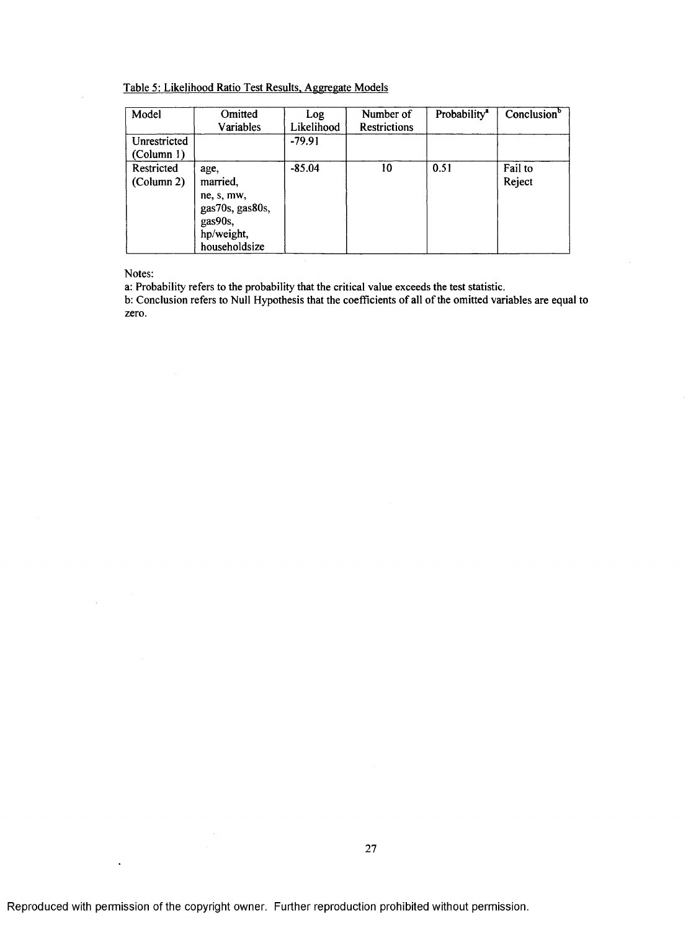Table 5: Likelihood Ratio Test Results. Aggregate Models

| Model                      | Omitted<br>Variables                                                                        | Log<br>Likelihood | Number of<br><b>Restrictions</b> | Probability <sup>a</sup> | Conclusion <sup>b</sup> |
|----------------------------|---------------------------------------------------------------------------------------------|-------------------|----------------------------------|--------------------------|-------------------------|
| Unrestricted<br>(Column 1) |                                                                                             | $-79.91$          |                                  |                          |                         |
| Restricted<br>(Column 2)   | age,<br>married,<br>ne, s, mw,<br>gas70s, gas80s,<br>gas90s,<br>hp/weight,<br>householdsize | $-85.04$          | 10                               | 0.51                     | Fail to<br>Reject       |

Notes:

 $\bar{\psi}$ 

 $\ddot{\phantom{1}}$ 

a: Probability refers to the probability that the critical value exceeds the test statistic.

b: Conclusion refers to Null Hypothesis that the coefficients of all of the omitted variables are equal to zero.

 $\hat{\boldsymbol{\beta}}$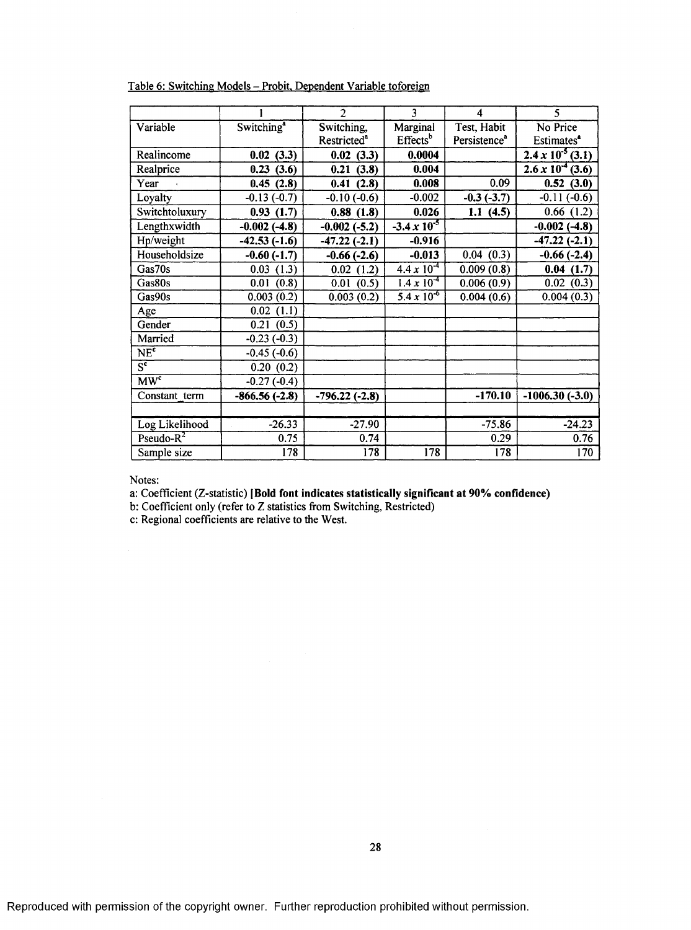|                               |                        | $\overline{2}$          | 3                     | 4                        | 5                          |
|-------------------------------|------------------------|-------------------------|-----------------------|--------------------------|----------------------------|
| Variable                      | Switching <sup>a</sup> | Switching,              | Marginal              | Test, Habit              | No Price                   |
|                               |                        | Restricted <sup>a</sup> | Effects <sup>b</sup>  | Persistence <sup>a</sup> | Estimates <sup>a</sup>     |
| Realincome                    | 0.02(3.3)              | 0.02(3.3)               | 0.0004                |                          | $2.4 \times 10^{-5}$ (3.1) |
| Realprice                     | 0.23(3.6)              | 0.21(3.8)               | 0.004                 |                          | $2.6 \times 10^{-4}$ (3.6) |
| Year                          | 0.45(2.8)              | 0.41(2.8)               | 0.008                 | 0.09                     | 0.52(3.0)                  |
| Loyalty                       | $-0.13(-0.7)$          | $-0.10(-0.6)$           | $-0.002$              | $-0.3(-3.7)$             | $-0.11(-0.6)$              |
| Switchtoluxury                | 0.93(1.7)              | 0.88(1.8)               | 0.026                 | 1.1(4.5)                 | (1.2)<br>0.66              |
| Lengthxwidth                  | $-0.002(-4.8)$         | $-0.002(-5.2)$          | $-3.4 \times 10^{-5}$ |                          | $-0.002(-4.8)$             |
| Hp/weight                     | $-42.53(-1.6)$         | $-47.22(-2.1)$          | $-0.916$              |                          | $-47.22(-2.1)$             |
| Householdsize                 | $-0.60(-1.7)$          | $-0.66(-2.6)$           | $-0.013$              | 0.04(0.3)                | $-0.66(-2.4)$              |
| Gas70s                        | 0.03(1.3)              | 0.02(1.2)               | $4.4 \times 10^{-4}$  | 0.009(0.8)               | 0.04(1.7)                  |
| Gas80s                        | 0.01(0.8)              | 0.01(0.5)               | $1.4 \times 10^{-4}$  | 0.006(0.9)               | 0.02(0.3)                  |
| Gas90s                        | 0.003(0.2)             | 0.003(0.2)              | $5.4 \times 10^{-6}$  | 0.004(0.6)               | 0.004(0.3)                 |
| Age                           | 0.02(1.1)              |                         |                       |                          |                            |
| Gender                        | 0.21(0.5)              |                         |                       |                          |                            |
| Married                       | $-0.23(-0.3)$          |                         |                       |                          |                            |
| NE <sup>c</sup>               | $-0.45(-0.6)$          |                         |                       |                          |                            |
| $\overline{s^{\mathfrak{e}}}$ | 0.20(0.2)              |                         |                       |                          |                            |
| $\overline{MW^c}$             | $-0.27(-0.4)$          |                         |                       |                          |                            |
| Constant term                 | $-866.56(-2.8)$        | $-796.22(-2.8)$         |                       | $-170.10$                | $-1006.30(-3.0)$           |
|                               |                        |                         |                       |                          |                            |
| Log Likelihood                | $-26.33$               | $-27.90$                |                       | $-75.86$                 | $-24.23$                   |
| $Pseudo-R2$                   | 0.75                   | 0.74                    |                       | 0.29                     | 0.76                       |
| Sample size                   | 178                    | 178                     | 178                   | 178                      | 170                        |

Table 6: Switching Models - Probit. Dependent Variable toforeign

Notes:

a: Coefficient (Z-statistic) [Bold font indicates statistically significant at 90% confidence)

b: Coefficient only (refer to Z statistics from Switching, Restricted)

c: Regional coefficients are relative to the West.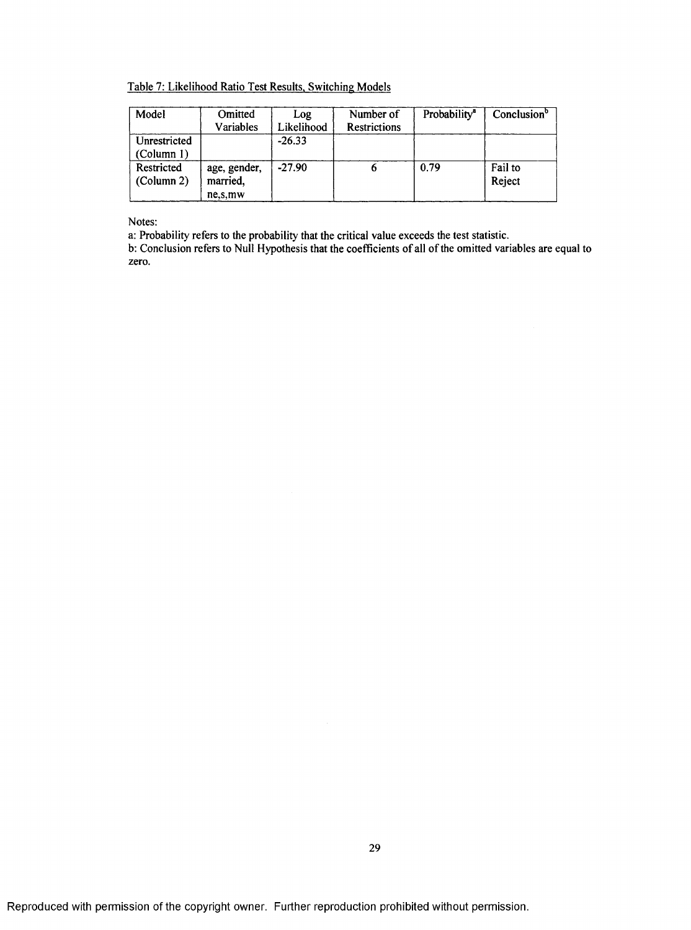Table 7: Likelihood Ratio Test Results. Switching Models

| Model                      | Omitted<br>Variables                  | Log<br>Likelihood | Number of<br><b>Restrictions</b> | Probability <sup>8</sup> | Conclusion <sup>b</sup> |
|----------------------------|---------------------------------------|-------------------|----------------------------------|--------------------------|-------------------------|
| Unrestricted<br>(Column 1) |                                       | $-26.33$          |                                  |                          |                         |
| Restricted<br>(Column 2)   | age, gender,<br>married,<br>ne, s, mw | $-27.90$          |                                  | 0.79                     | Fail to<br>Reject       |

Notes;

a: Probability refers to the probability that the critical value exceeds the test statistic.

b; Conclusion refers to Null Hypothesis that the coefficients of all of the omitted variables are equal to zero.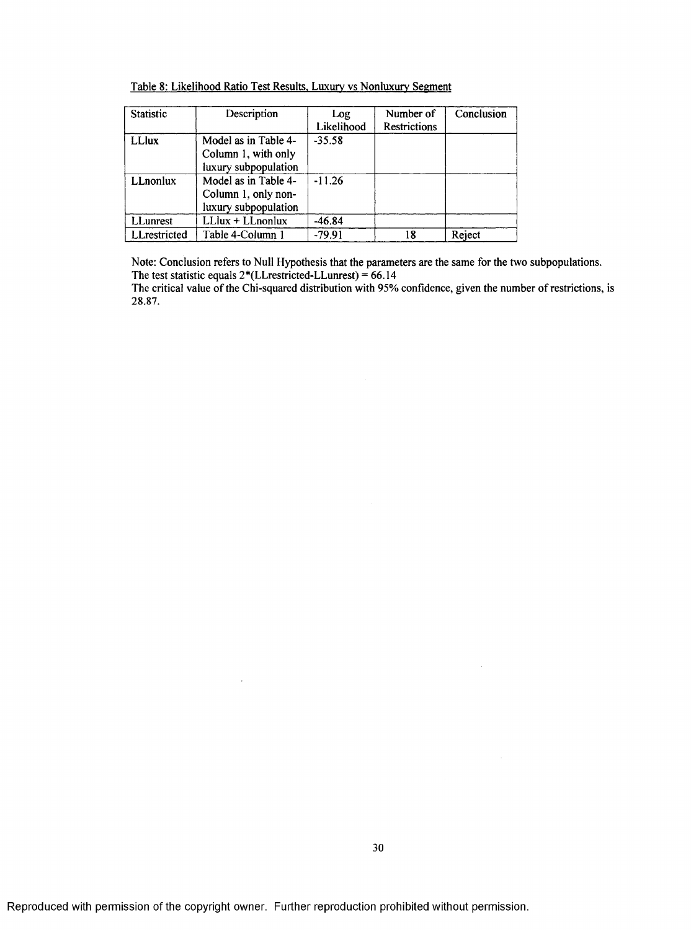| Table 8: Likelihood Ratio Test Results, Luxury vs Nonluxury Segment |  |  |  |
|---------------------------------------------------------------------|--|--|--|
|                                                                     |  |  |  |

| Statistic     | Description          | Log        | Number of           | Conclusion |
|---------------|----------------------|------------|---------------------|------------|
|               |                      | Likelihood | <b>Restrictions</b> |            |
| <b>LL</b> lux | Model as in Table 4- | $-35.58$   |                     |            |
|               | Column 1, with only  |            |                     |            |
|               | luxury subpopulation |            |                     |            |
| LLnonlux      | Model as in Table 4- | $-11.26$   |                     |            |
|               | Column 1, only non-  |            |                     |            |
|               | luxury subpopulation |            |                     |            |
| LLunrest      | $LLlux + LLnonlux$   | $-46.84$   |                     |            |
| LLrestricted  | Table 4-Column 1     | $-79.91$   | 18                  | Reject     |

Note: Conclusion refers to Null Hypothesis that the parameters are the same for the two subpopulations. The test statistic equals  $2*(LLrestricted-LLunrest) = 66.14$ 

The critical value of the Chi-squared distribution with 95% confidence, given the number of restrictions, is 28.87.

 $\bar{z}$ 

 $\mathcal{A}^{\mathcal{A}}$ 

 $\sim$   $\sim$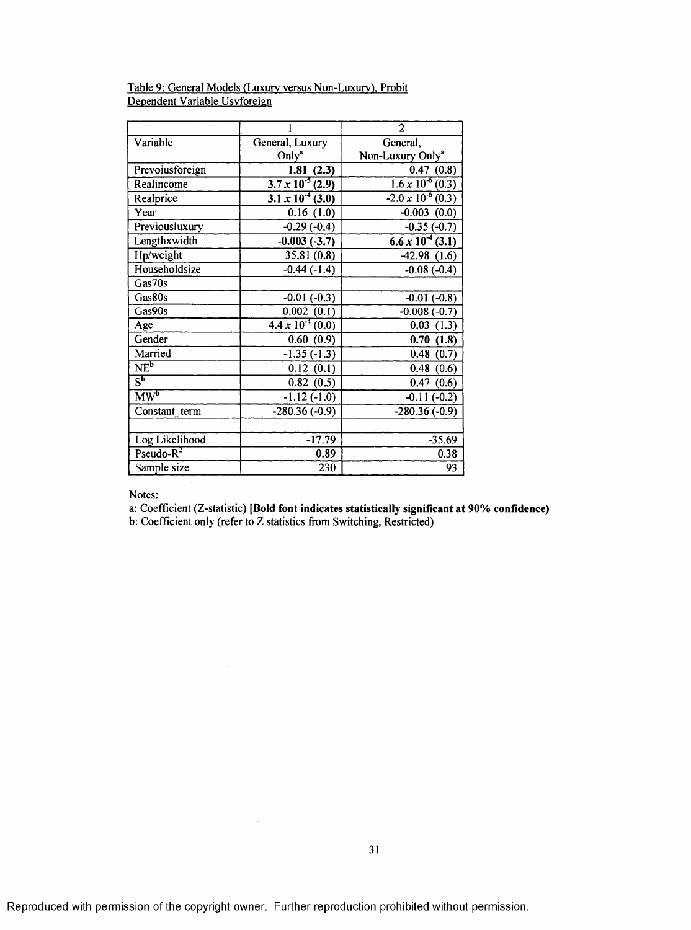|                                   |                                      | 2                                                         |
|-----------------------------------|--------------------------------------|-----------------------------------------------------------|
| Variable                          | General, Luxury                      | General,                                                  |
|                                   | Only <sup>a</sup>                    | Non-Luxury Only <sup>a</sup>                              |
| Prevoiusforeign                   | 1.81(2.3)                            | 0.47(0.8)                                                 |
| Realincome                        | $3.7 \times 10^{-5}$ (2.9)           | $\frac{1.6 \times 10^{-6}(0.3)}{1.6 \times 10^{-6}(0.3)}$ |
| Realprice                         | $\frac{1}{3.1 \times 10^{-4} (3.0)}$ | $-2.0 \times 10^{-6}$ (0.3)                               |
| Year                              | 0.16(1.0)                            | $-0.003(0.0)$                                             |
| Previousluxury                    | $-0.29(-0.4)$                        | $-0.35(-0.7)$                                             |
| Lengthxwidth                      | $-0.003(-3.7)$                       | $6.6 \times 10^{-4}$ (3.1)                                |
| Hp/weight                         | 35.81(0.8)                           | $-42.98(1.6)$                                             |
| Householdsize                     | $-0.44(-1.4)$                        | $-0.08(-0.4)$                                             |
| Gas70s                            |                                      |                                                           |
| Gas80s                            | $-0.01(-0.3)$                        | $-0.01(-0.8)$                                             |
| Gas90s                            | 0.002(0.1)                           | $-0.008(-0.7)$                                            |
| Age                               | $4.4 \times 10^{-4}$ (0.0)           | 0.03(1.3)                                                 |
| Gender                            | 0.60(0.9)                            | 0.70(1.8)                                                 |
| Married                           | $-1.35(-1.3)$                        | 0.48(0.7)                                                 |
| NE <sup>b</sup>                   | 0.12(0.1)                            | 0.48(0.6)                                                 |
| $\overline{S^b}$                  | 0.82(0.5)                            | 0.47(0.6)                                                 |
| $\overline{\text{MW}^{\text{b}}}$ | $-1.12(-1.0)$                        | $-0.11(-0.2)$                                             |
| Constant term                     | $-280.36(-0.9)$                      | $-280.36(-0.9)$                                           |
|                                   |                                      |                                                           |
| Log Likelihood                    | $-17.79$                             | $-35.69$                                                  |
| $Pseudo-R2$                       | 0.89                                 | 0.38                                                      |
| Sample size                       | 230                                  | 93                                                        |

## Table 9: General Models (Luxury versus Non-Luxury). Probit Dependent Variable Usvforeign

and the company

Notes:

a: Coefficient (Z-statistic) [Bold font indicates statistically significant at 90% confidence)

b: Coefficient only (refer to Z statistics from Switching, Restricted)

 $\bar{z}$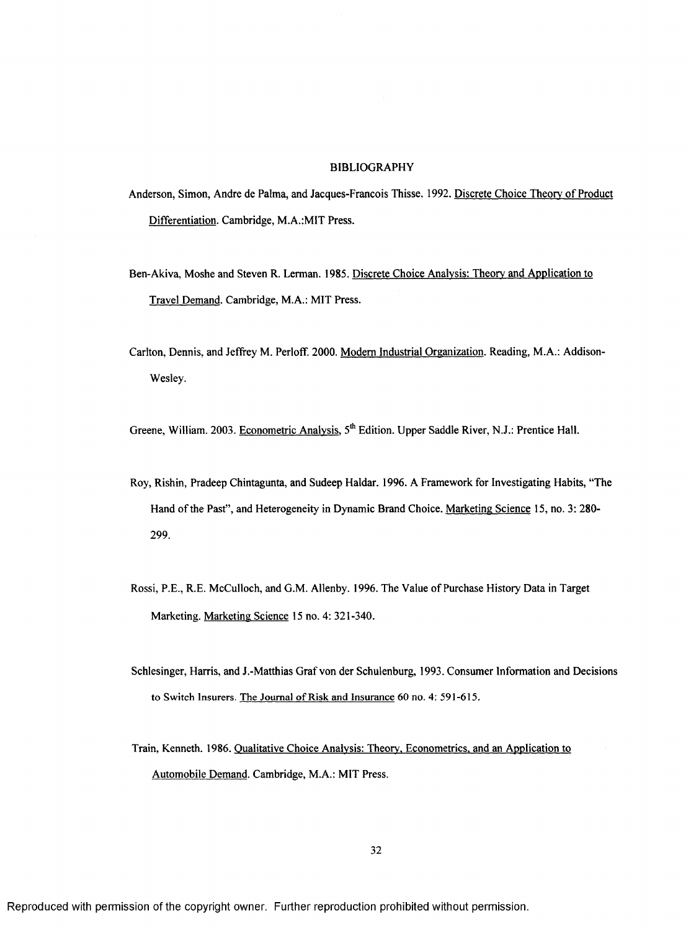#### BIBLIOGRAPHY

- Anderson, Simon, Andre de Palma, and Jacques-Francois Thisse. 1992. Discrete Choice Theory of Product Differentiation. Cambridge, M.A.:MIT Press.
- Ben-Akiva, Moshe and Steven R. Lerman. 1985. Discrete Choice Analysis: Theory and Application to Travel Demand. Cambridge, M.A.: MIT Press.
- Carlton, Dennis, and Jeffrey M. Perloff. 2000. Modem Industrial Organization. Reading, M.A.: Addison-Wesley.

Greene, William. 2003. Econometric Analysis, 5<sup>th</sup> Edition. Upper Saddle River, N.J.: Prentice Hall.

- Roy, Rishin, Pradeep Chintagunta, and Sudeep Haidar. 1996. A Framework for Investigating Habits, "The Hand of the Past", and Heterogeneity in Dynamic Brand Choice. Marketing Science 15, no. 3: 280- 299.
- Rossi, P.E., R E. McCulloch, and G.M. Allenby. 1996. The Value of Purchase History Data in Target Marketing. Marketing Science 15 no. 4: 321-340.
- Schlesinger, Harris, and J.-Matthias Graf von der Schulenburg, 1993. Consumer Information and Decisions to Switch Insurers. The Journal of Risk and Insurance 60 no. 4: 591-615.
- Train. Kenneth. 1986. Qualitative Choice Analysis: Theory. Econometrics, and an Application to Automobile Demand. Cambridge, M.A.: MIT Press.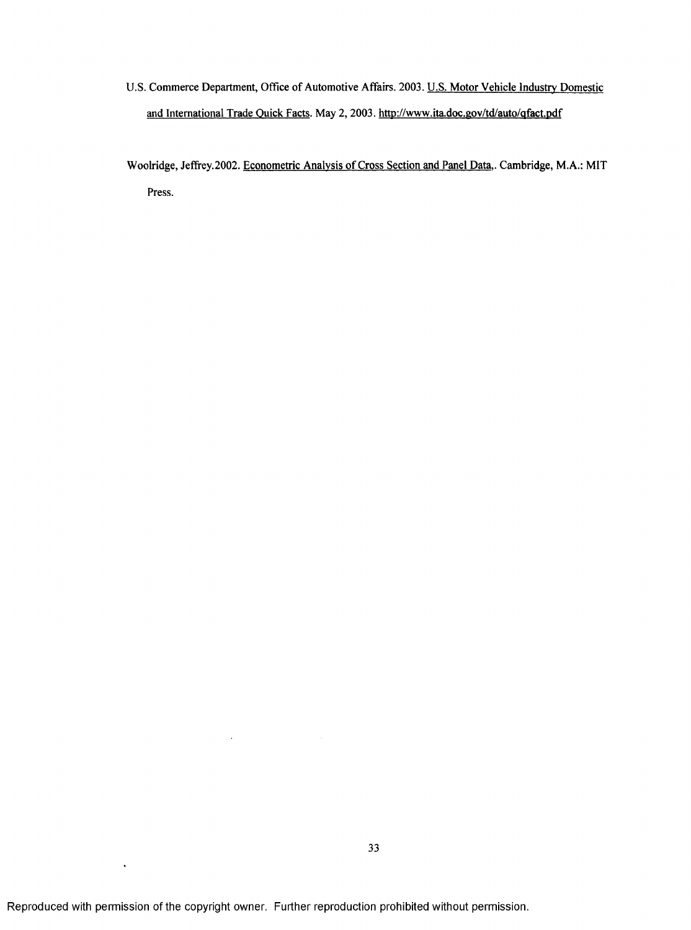- U.S. Commerce Department, Office of Automotive Affairs. 2003. U.S. Motor Vehicle Industry Domestic and International Trade Quick Facts. May 2, 2003. <http://www.ita.doc.gov/td/auto/qfact.pdf>
- Woolridge, Jeffiey.2002. Econometric Analysis of Cross Section and Panel Data.. Cambridge, M.A.: MIT Press.

 $\hat{\mathcal{A}}$ 

 $\hat{\mathbf{v}}$